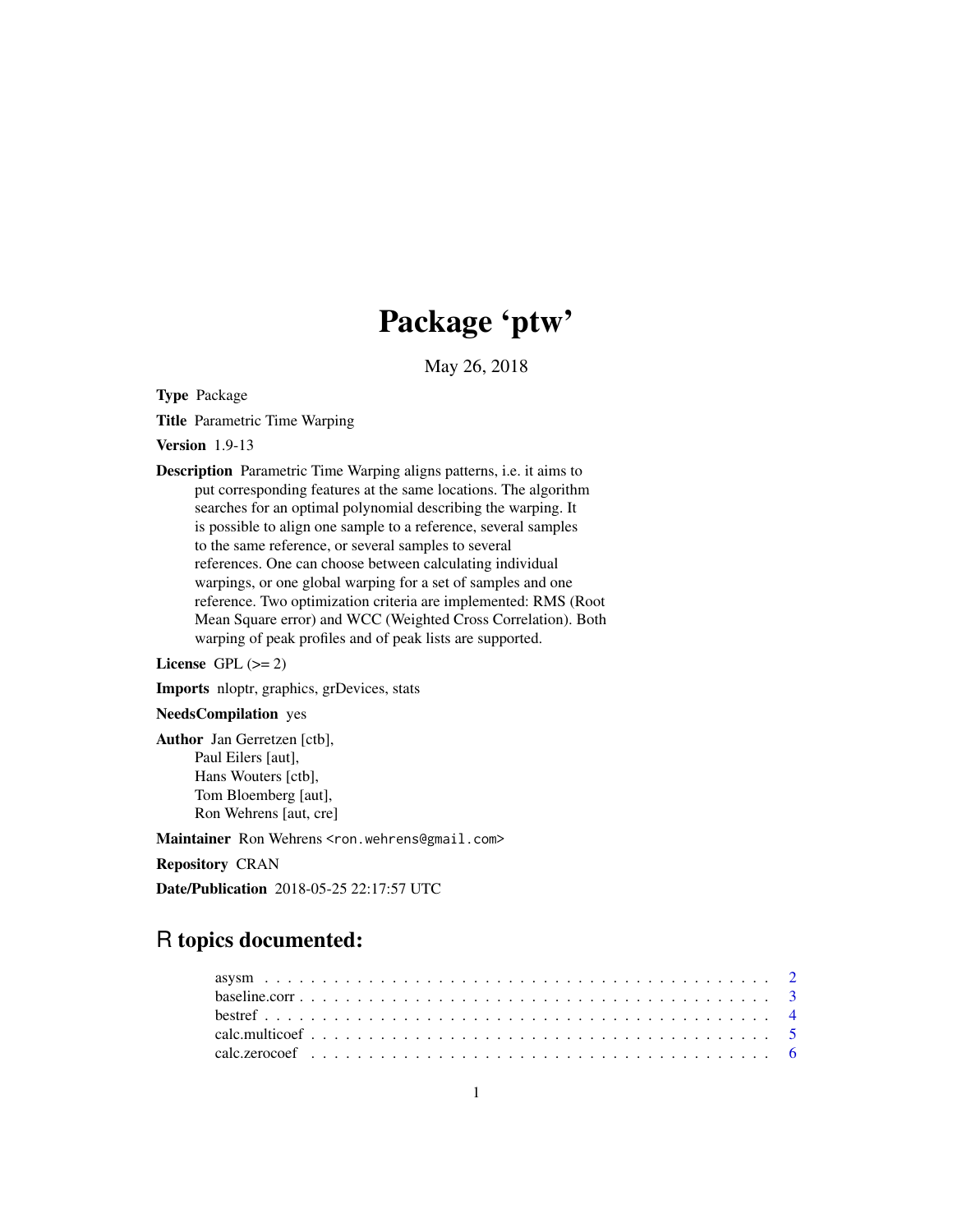# Package 'ptw'

May 26, 2018

Type Package

Title Parametric Time Warping

Version 1.9-13

Description Parametric Time Warping aligns patterns, i.e. it aims to put corresponding features at the same locations. The algorithm searches for an optimal polynomial describing the warping. It is possible to align one sample to a reference, several samples to the same reference, or several samples to several references. One can choose between calculating individual warpings, or one global warping for a set of samples and one reference. Two optimization criteria are implemented: RMS (Root Mean Square error) and WCC (Weighted Cross Correlation). Both warping of peak profiles and of peak lists are supported.

License GPL  $(>= 2)$ 

Imports nloptr, graphics, grDevices, stats

#### NeedsCompilation yes

Author Jan Gerretzen [ctb], Paul Eilers [aut], Hans Wouters [ctb], Tom Bloemberg [aut], Ron Wehrens [aut, cre]

Maintainer Ron Wehrens <ron.wehrens@gmail.com>

Repository CRAN

Date/Publication 2018-05-25 22:17:57 UTC

# R topics documented: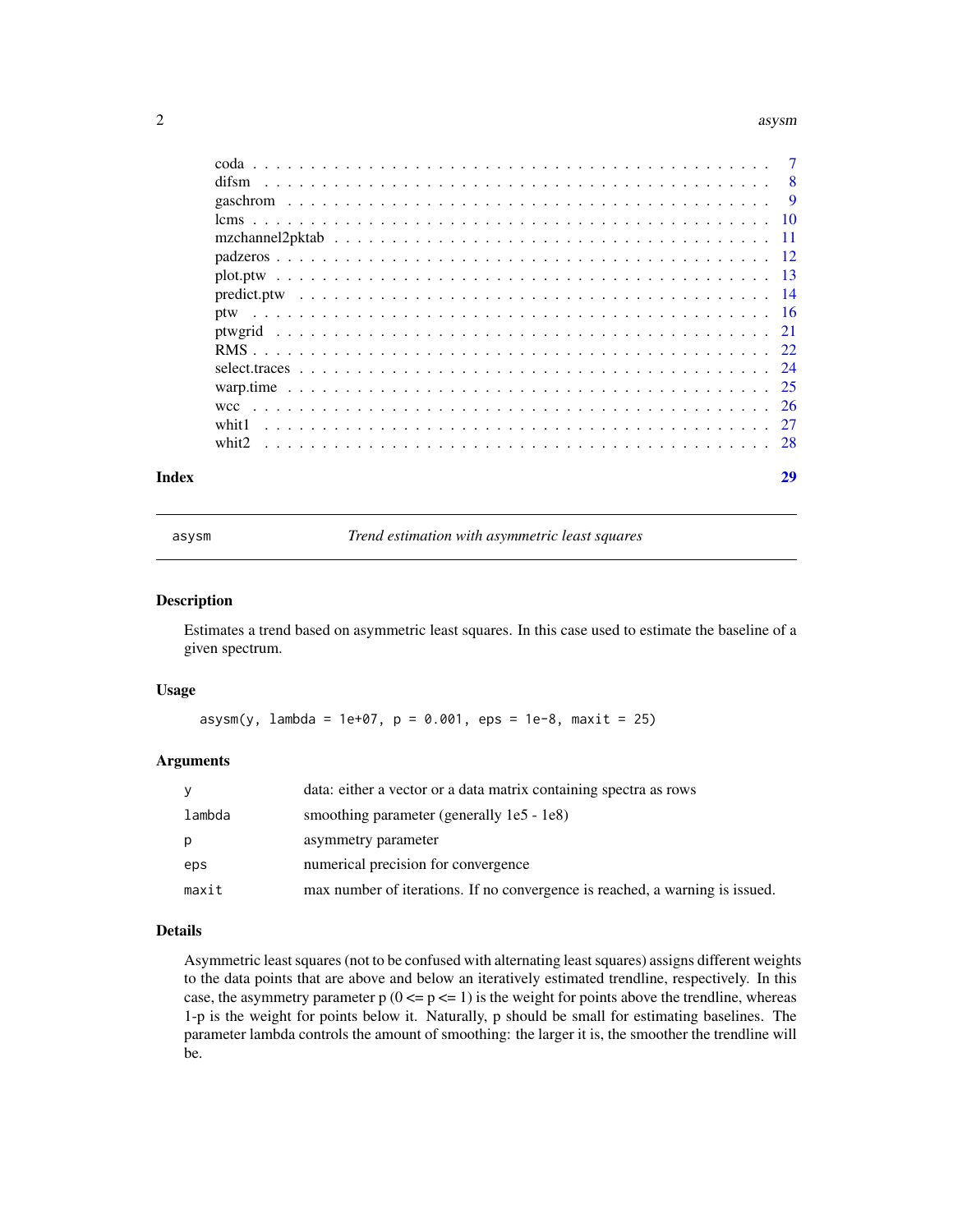#### <span id="page-1-0"></span> $2 \cos \theta$  asysmic and  $\cos \theta$  asysmic and  $\sin \theta$  asysmic asysmic asysmic asysmic asysmic asysmic asysmic asysmic asysmic asysmic asysmic asysmic asysmic asysmic asysmic asysmic asysmic asysmic asysmic asysmic asysmic asysmic

| Index |       | 29 |
|-------|-------|----|
|       |       |    |
|       | whit1 |    |
|       |       |    |
|       |       |    |
|       |       |    |
|       |       |    |
|       |       |    |
|       |       |    |
|       |       |    |
|       |       |    |
|       |       |    |
|       |       |    |
|       |       |    |
|       |       |    |
|       |       |    |
|       |       |    |

asysm *Trend estimation with asymmetric least squares*

## Description

Estimates a trend based on asymmetric least squares. In this case used to estimate the baseline of a given spectrum.

#### Usage

 $\text{asysm}(y, \text{lambda} = 1e+07, p = 0.001, eps = 1e-8, maxit = 25)$ 

# Arguments

| ٧      | data: either a vector or a data matrix containing spectra as rows            |
|--------|------------------------------------------------------------------------------|
| lambda | smoothing parameter (generally 1e5 - 1e8)                                    |
| р      | asymmetry parameter                                                          |
| eps    | numerical precision for convergence                                          |
| maxit  | max number of iterations. If no convergence is reached, a warning is issued. |

# Details

Asymmetric least squares (not to be confused with alternating least squares) assigns different weights to the data points that are above and below an iteratively estimated trendline, respectively. In this case, the asymmetry parameter  $p (0 \le p \le 1)$  is the weight for points above the trendline, whereas 1-p is the weight for points below it. Naturally, p should be small for estimating baselines. The parameter lambda controls the amount of smoothing: the larger it is, the smoother the trendline will be.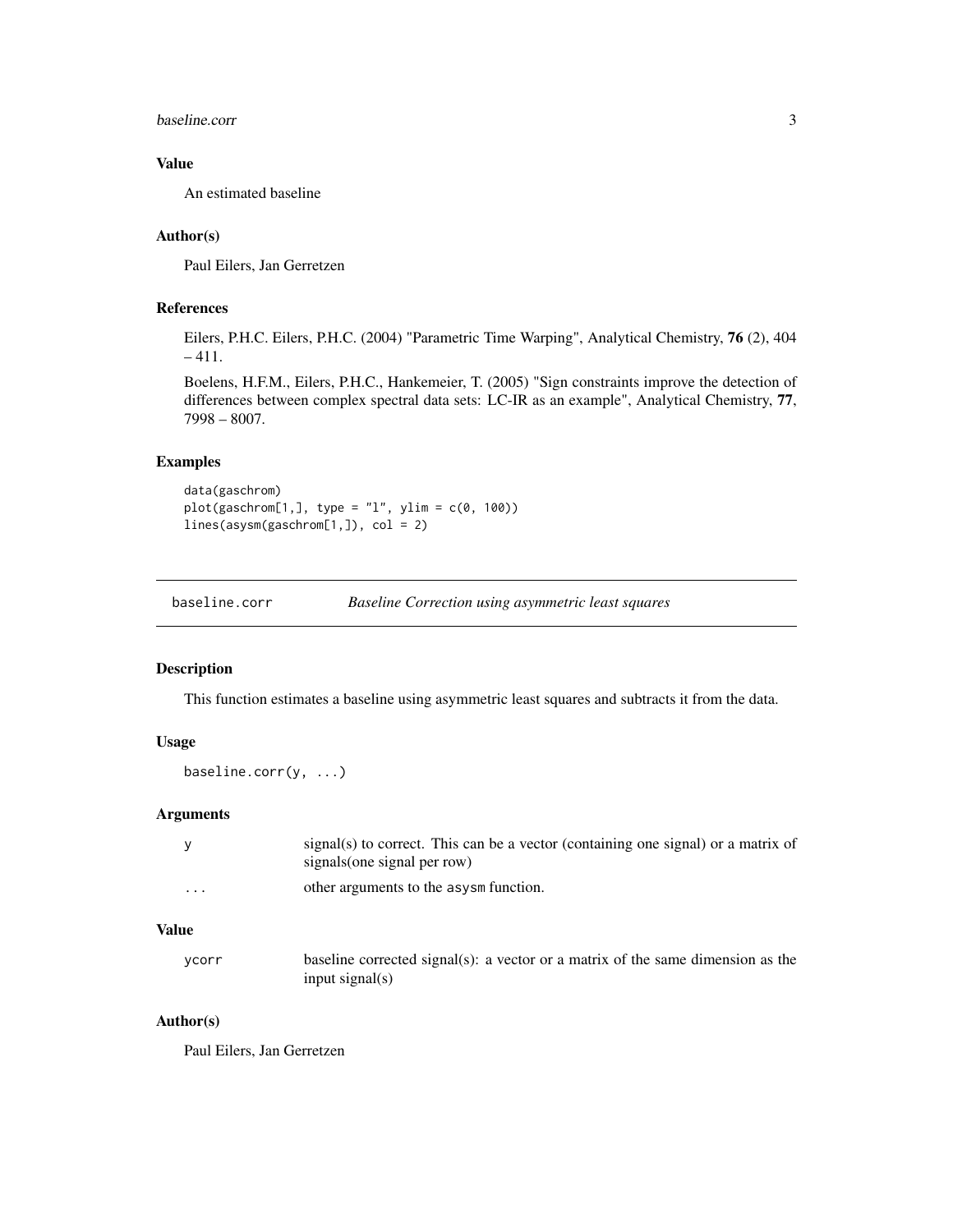#### <span id="page-2-0"></span>baseline.corr 3

# Value

An estimated baseline

# Author(s)

Paul Eilers, Jan Gerretzen

# References

Eilers, P.H.C. Eilers, P.H.C. (2004) "Parametric Time Warping", Analytical Chemistry, 76 (2), 404 – 411.

Boelens, H.F.M., Eilers, P.H.C., Hankemeier, T. (2005) "Sign constraints improve the detection of differences between complex spectral data sets: LC-IR as an example", Analytical Chemistry, 77, 7998 – 8007.

# Examples

```
data(gaschrom)
plot(gaschrom[1,], type = "1", ylim = c(0, 100))lines(asysm(gaschrom[1,]), col = 2)
```
baseline.corr *Baseline Correction using asymmetric least squares*

#### Description

This function estimates a baseline using asymmetric least squares and subtracts it from the data.

#### Usage

baseline.corr(y, ...)

# Arguments

|         | $signal(s)$ to correct. This can be a vector (containing one signal) or a matrix of<br>signals (one signal per row) |
|---------|---------------------------------------------------------------------------------------------------------------------|
| $\cdot$ | other arguments to the asysm function.                                                                              |

# Value

| ycorr | baseline corrected signal(s): a vector or a matrix of the same dimension as the |
|-------|---------------------------------------------------------------------------------|
|       | input signal $(s)$                                                              |

#### Author(s)

Paul Eilers, Jan Gerretzen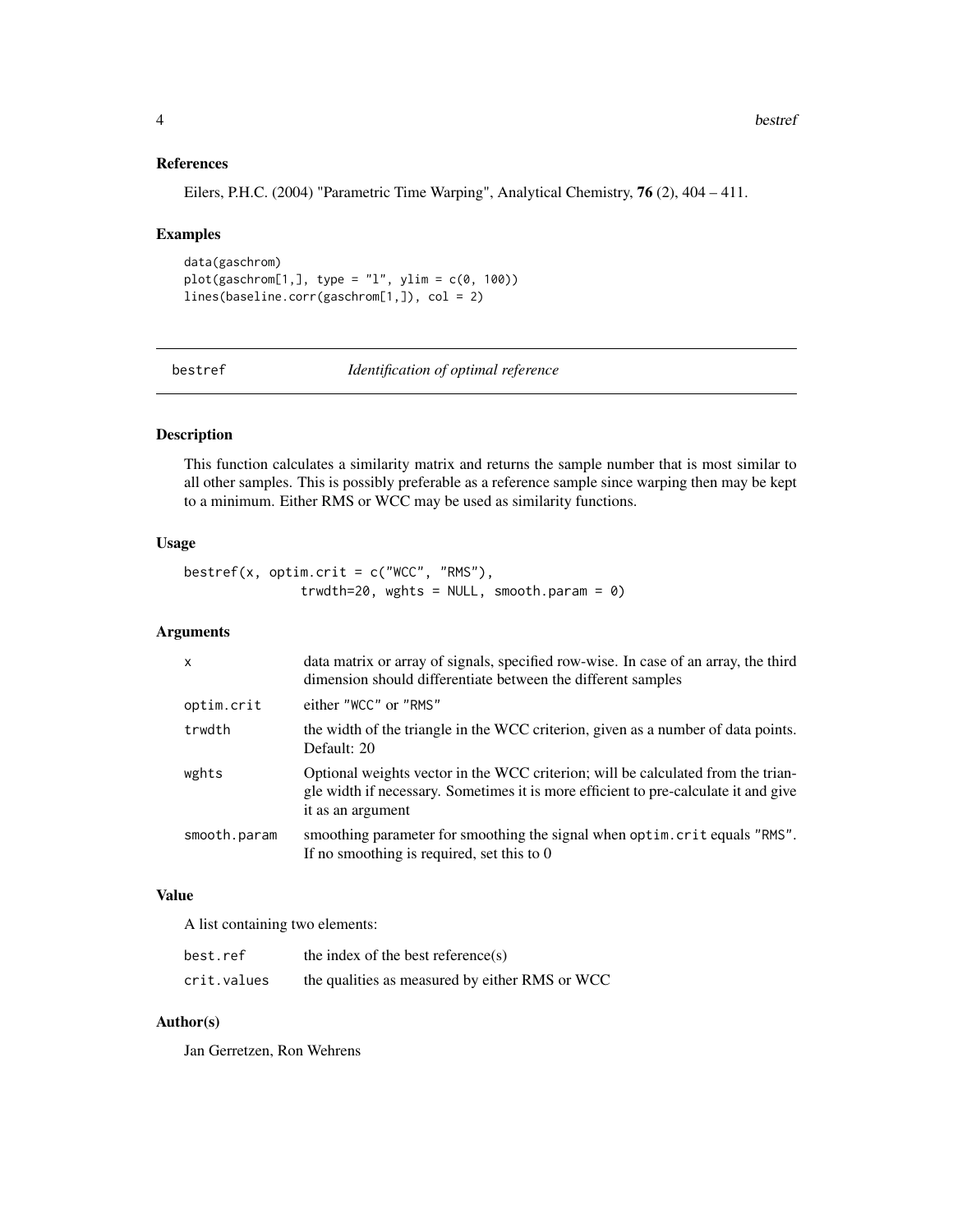# References

Eilers, P.H.C. (2004) "Parametric Time Warping", Analytical Chemistry, 76 (2), 404 – 411.

#### Examples

```
data(gaschrom)
plot(gaschrom[1,], type = "l", ylim = c(0, 100))lines(baseline.corr(gaschrom[1,]), col = 2)
```
bestref *Identification of optimal reference*

# Description

This function calculates a similarity matrix and returns the sample number that is most similar to all other samples. This is possibly preferable as a reference sample since warping then may be kept to a minimum. Either RMS or WCC may be used as similarity functions.

# Usage

```
bestref(x, optim.crit = c("WCC", "RMS"),
               trwdth=20, wghts = NULL, smooth.param = 0)
```
# Arguments

| $\mathsf{x}$ | data matrix or array of signals, specified row-wise. In case of an array, the third<br>dimension should differentiate between the different samples                                          |
|--------------|----------------------------------------------------------------------------------------------------------------------------------------------------------------------------------------------|
| optim.crit   | either "WCC" or "RMS"                                                                                                                                                                        |
| trwdth       | the width of the triangle in the WCC criterion, given as a number of data points.<br>Default: 20                                                                                             |
| wghts        | Optional weights vector in the WCC criterion; will be calculated from the trian-<br>gle width if necessary. Sometimes it is more efficient to pre-calculate it and give<br>it as an argument |
| smooth.param | smoothing parameter for smoothing the signal when optim. crit equals "RMS".<br>If no smoothing is required, set this to $0$                                                                  |

#### Value

A list containing two elements:

| best.ref    | the index of the best reference $(s)$          |
|-------------|------------------------------------------------|
| crit.values | the qualities as measured by either RMS or WCC |

#### Author(s)

Jan Gerretzen, Ron Wehrens

<span id="page-3-0"></span>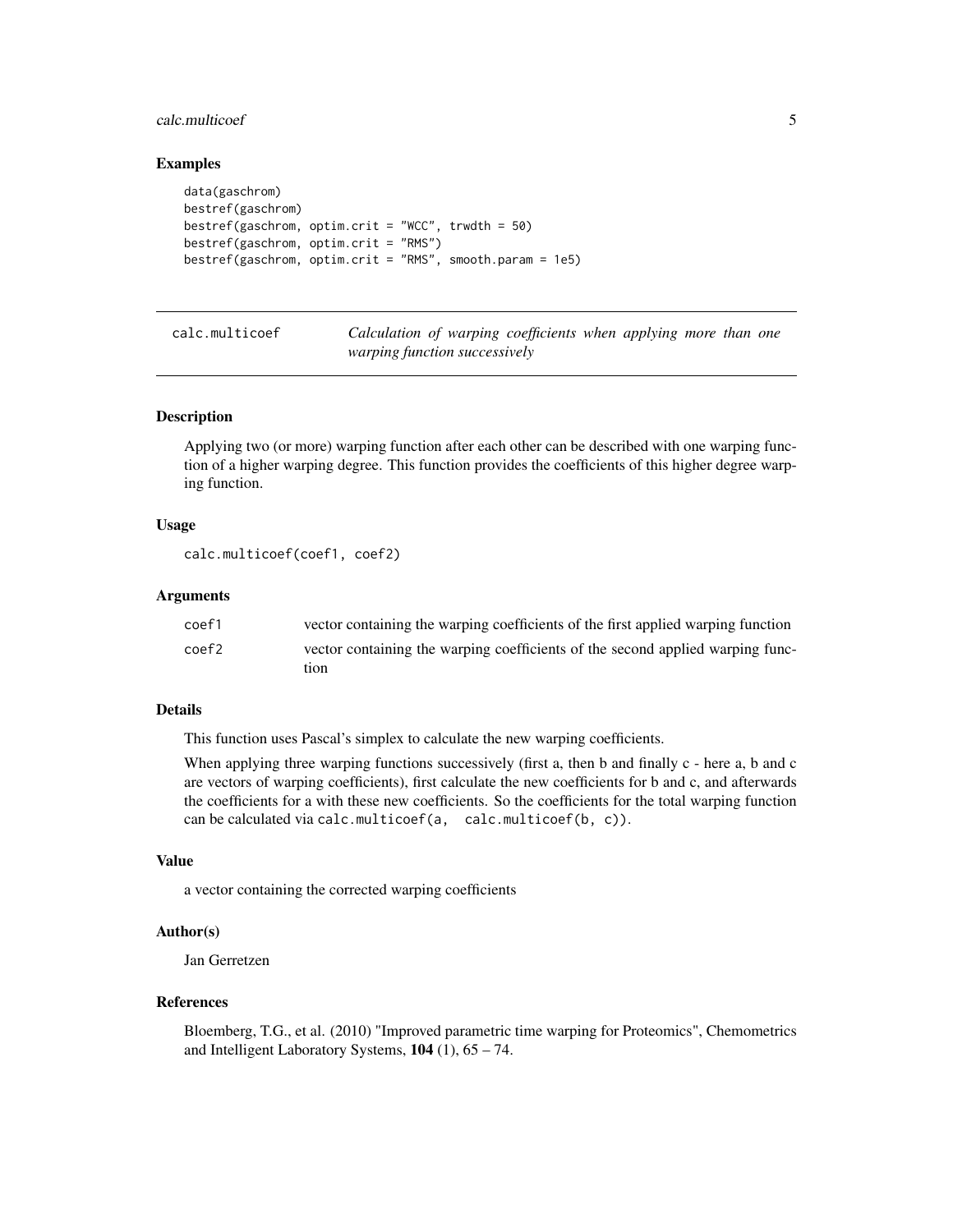# <span id="page-4-0"></span>calc.multicoef 5

#### Examples

```
data(gaschrom)
bestref(gaschrom)
bestref(gaschrom, optim.crit = "WCC", trwdth = 50)
bestref(gaschrom, optim.crit = "RMS")
bestref(gaschrom, optim.crit = "RMS", smooth.param = 1e5)
```
<span id="page-4-1"></span>calc.multicoef *Calculation of warping coefficients when applying more than one warping function successively*

#### Description

Applying two (or more) warping function after each other can be described with one warping function of a higher warping degree. This function provides the coefficients of this higher degree warping function.

#### Usage

```
calc.multicoef(coef1, coef2)
```
#### Arguments

| coef1             | vector containing the warping coefficients of the first applied warping function |
|-------------------|----------------------------------------------------------------------------------|
| coef <sub>2</sub> | vector containing the warping coefficients of the second applied warping func-   |
|                   | tion                                                                             |

#### Details

This function uses Pascal's simplex to calculate the new warping coefficients.

When applying three warping functions successively (first a, then b and finally c - here a, b and c are vectors of warping coefficients), first calculate the new coefficients for b and c, and afterwards the coefficients for a with these new coefficients. So the coefficients for the total warping function can be calculated via calc.multicoef(a, calc.multicoef(b, c)).

#### Value

a vector containing the corrected warping coefficients

#### Author(s)

Jan Gerretzen

#### References

Bloemberg, T.G., et al. (2010) "Improved parametric time warping for Proteomics", Chemometrics and Intelligent Laboratory Systems,  $104$  (1),  $65 - 74$ .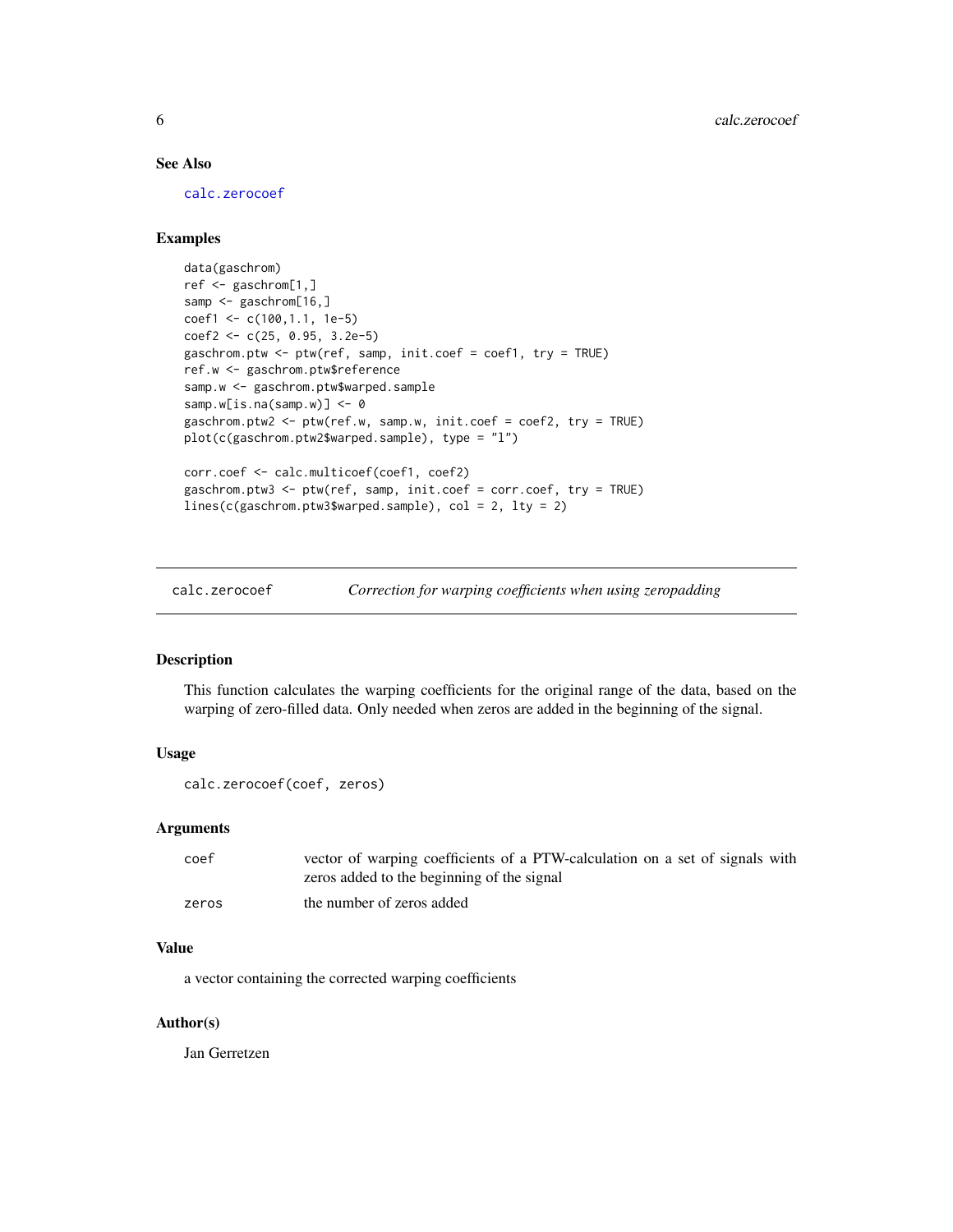# <span id="page-5-0"></span>See Also

[calc.zerocoef](#page-5-1)

# Examples

```
data(gaschrom)
ref <- gaschrom[1,]
samp <- gaschrom[16,]
coef1 <- c(100,1.1, 1e-5)
coef2 <- c(25, 0.95, 3.2e-5)
gaschrom.ptw <- ptw(ref, samp, init.coef = coef1, try = TRUE)
ref.w <- gaschrom.ptw$reference
samp.w <- gaschrom.ptw$warped.sample
samp.w[is.na(samp.w)] <- 0
gaschrom.ptw2 <- ptw(ref.w, samp.w, init.coef = coef2, try = TRUE)
plot(c(gaschrom.ptw2$warped.sample), type = "l")
corr.coef <- calc.multicoef(coef1, coef2)
gaschrom.ptw3 <- ptw(ref, samp, init.coef = corr.coef, try = TRUE)
lines(c(gaschrom.ptw3$warped.sample), col = 2, lty = 2)
```
<span id="page-5-1"></span>

calc.zerocoef *Correction for warping coefficients when using zeropadding*

#### Description

This function calculates the warping coefficients for the original range of the data, based on the warping of zero-filled data. Only needed when zeros are added in the beginning of the signal.

# Usage

```
calc.zerocoef(coef, zeros)
```
#### Arguments

| coef  | vector of warping coefficients of a PTW-calculation on a set of signals with |
|-------|------------------------------------------------------------------------------|
|       | zeros added to the beginning of the signal                                   |
| zeros | the number of zeros added                                                    |

#### Value

a vector containing the corrected warping coefficients

#### Author(s)

Jan Gerretzen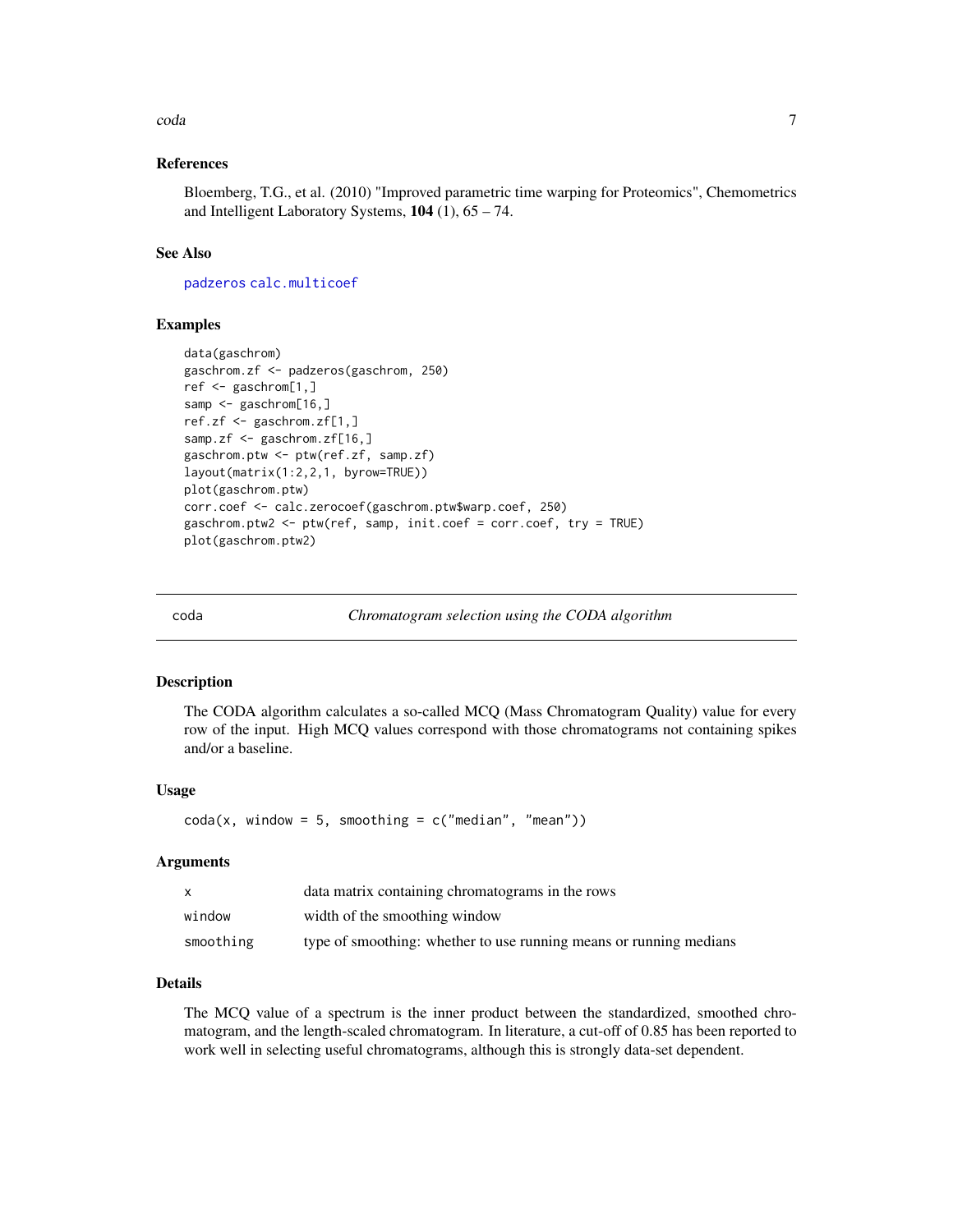#### <span id="page-6-0"></span>coda **7** and 7 and 7 and 7 and 7 and 7 and 7 and 7 and 7 and 7 and 7 and 7 and 7 and 7 and 7 and 7 and 7 and 7 and 7 and 7 and 7 and 7 and 7 and 7 and 7 and 7 and 7 and 7 and 7 and 7 and 7 and 7 and 7 and 7 and 7 and 7 and

### References

Bloemberg, T.G., et al. (2010) "Improved parametric time warping for Proteomics", Chemometrics and Intelligent Laboratory Systems,  $104$  (1),  $65 - 74$ .

#### See Also

[padzeros](#page-11-1) [calc.multicoef](#page-4-1)

# Examples

```
data(gaschrom)
gaschrom.zf <- padzeros(gaschrom, 250)
ref <- gaschrom[1,]
samp <- gaschrom[16,]
ref.zf <- gaschrom.zf[1,]
samp.zf <- gaschrom.zf[16,]
gaschrom.ptw <- ptw(ref.zf, samp.zf)
layout(matrix(1:2,2,1, byrow=TRUE))
plot(gaschrom.ptw)
corr.coef <- calc.zerocoef(gaschrom.ptw$warp.coef, 250)
gaschrom.ptw2 <- ptw(ref, samp, init.coef = corr.coef, try = TRUE)
plot(gaschrom.ptw2)
```
<span id="page-6-1"></span>

coda *Chromatogram selection using the CODA algorithm*

#### Description

The CODA algorithm calculates a so-called MCQ (Mass Chromatogram Quality) value for every row of the input. High MCQ values correspond with those chromatograms not containing spikes and/or a baseline.

#### Usage

```
\text{coda}(x, \text{ window} = 5, \text{ smoothing} = c("median", "mean"))
```
#### Arguments

| X         | data matrix containing chromatograms in the rows                   |
|-----------|--------------------------------------------------------------------|
| window    | width of the smoothing window                                      |
| smoothing | type of smoothing: whether to use running means or running medians |

# Details

The MCQ value of a spectrum is the inner product between the standardized, smoothed chromatogram, and the length-scaled chromatogram. In literature, a cut-off of 0.85 has been reported to work well in selecting useful chromatograms, although this is strongly data-set dependent.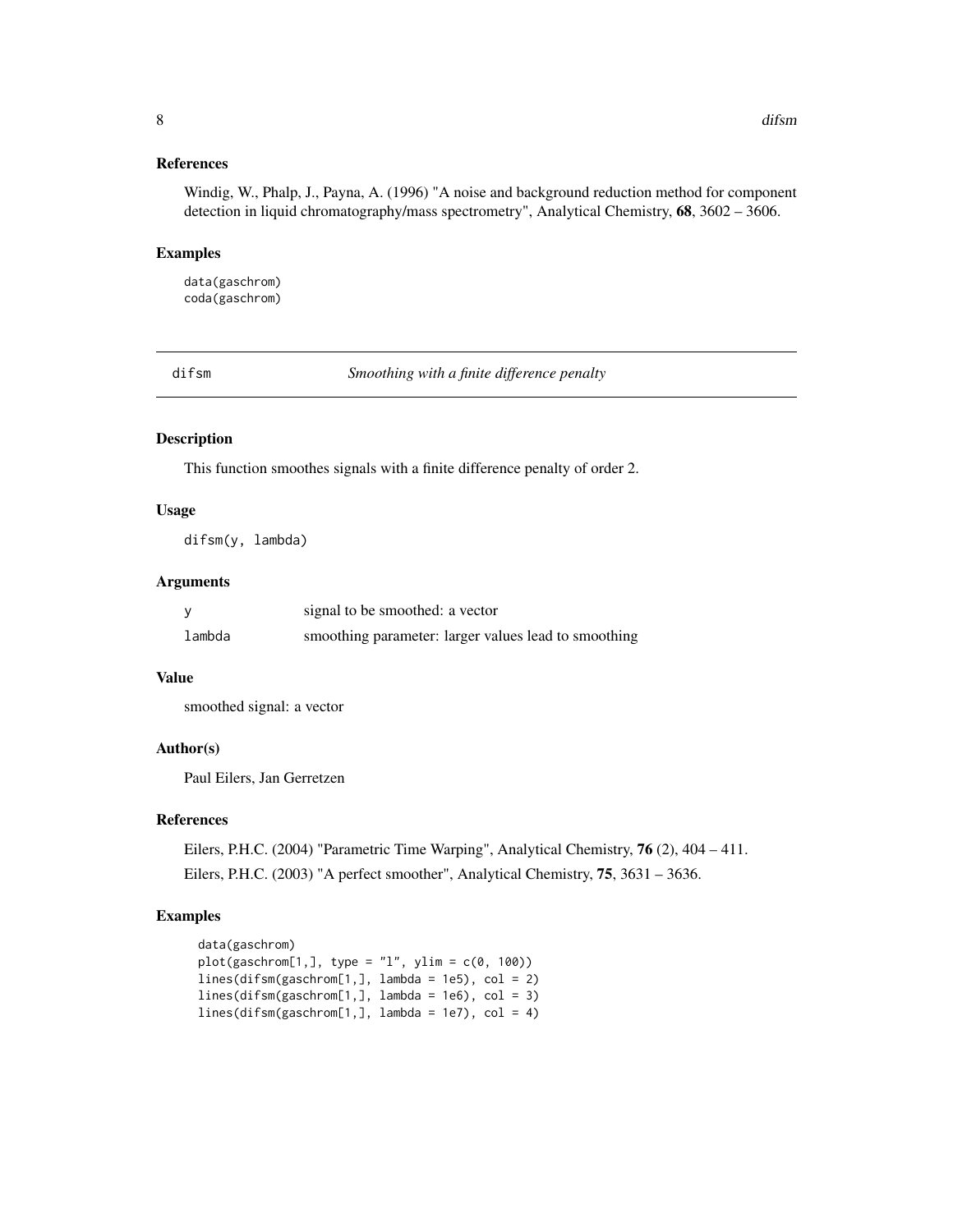### <span id="page-7-0"></span>References

Windig, W., Phalp, J., Payna, A. (1996) "A noise and background reduction method for component detection in liquid chromatography/mass spectrometry", Analytical Chemistry, 68, 3602 – 3606.

#### Examples

data(gaschrom) coda(gaschrom)

difsm *Smoothing with a finite difference penalty*

#### Description

This function smoothes signals with a finite difference penalty of order 2.

#### Usage

difsm(y, lambda)

#### Arguments

|        | signal to be smoothed: a vector                      |
|--------|------------------------------------------------------|
| lambda | smoothing parameter: larger values lead to smoothing |

#### Value

smoothed signal: a vector

#### Author(s)

Paul Eilers, Jan Gerretzen

# References

Eilers, P.H.C. (2004) "Parametric Time Warping", Analytical Chemistry, 76 (2), 404 – 411. Eilers, P.H.C. (2003) "A perfect smoother", Analytical Chemistry, 75, 3631 – 3636.

# Examples

```
data(gaschrom)
plot(gaschrom[1,], type = "l", ylim = c(0, 100))
lines(difsm(gaschrom[1,], lambda = 1e5), col = 2)
lines(difsm(gaschrom[1,], lambda = 1e6), col = 3)
lines(difsm(gaschrom[1,], lambda = 1e7), col = 4)
```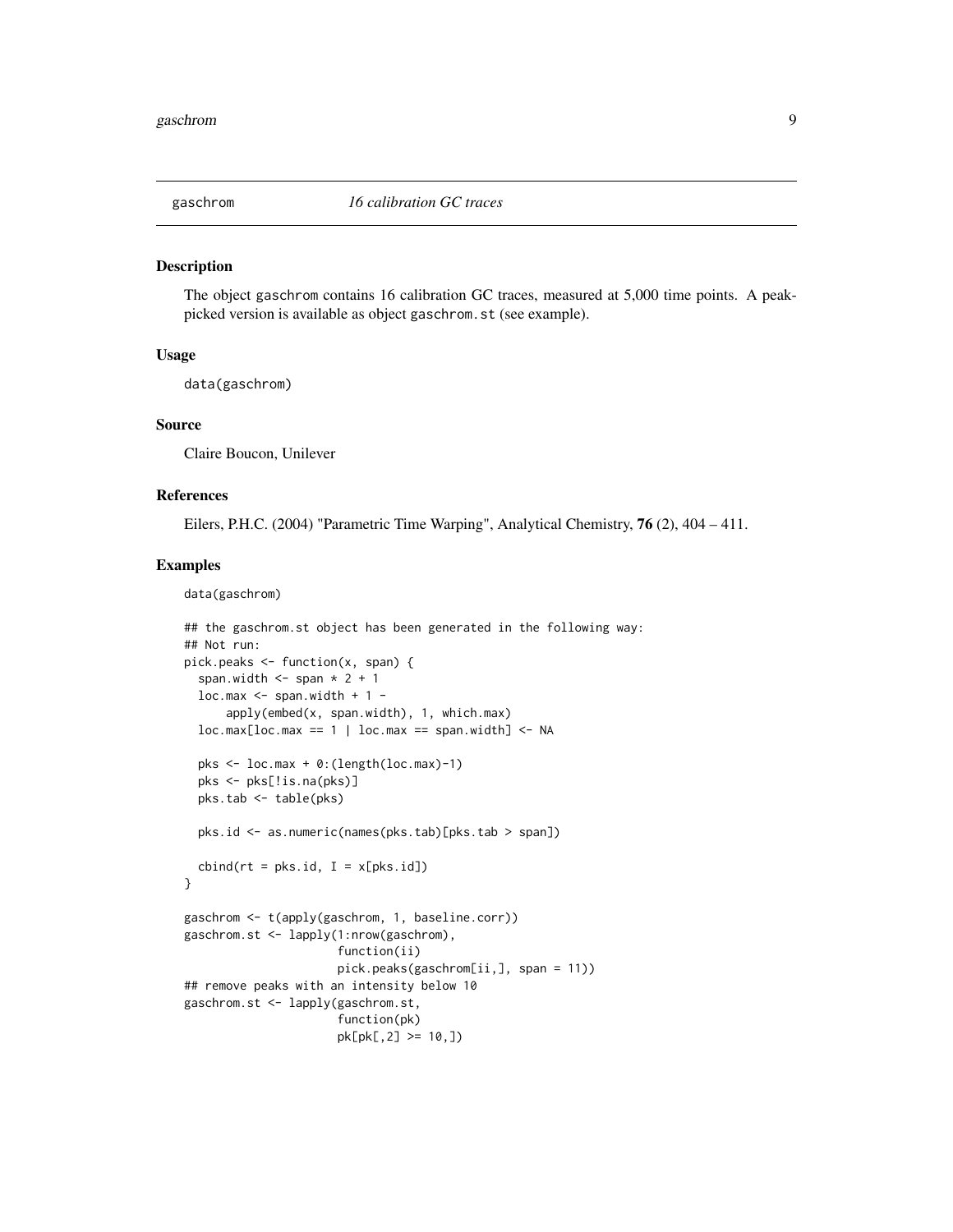<span id="page-8-1"></span><span id="page-8-0"></span>

#### Description

The object gaschrom contains 16 calibration GC traces, measured at 5,000 time points. A peakpicked version is available as object gaschrom.st (see example).

#### Usage

data(gaschrom)

#### Source

Claire Boucon, Unilever

# References

Eilers, P.H.C. (2004) "Parametric Time Warping", Analytical Chemistry, 76 (2), 404 – 411.

#### Examples

data(gaschrom)

```
## the gaschrom.st object has been generated in the following way:
## Not run:
pick.peaks <- function(x, span) {
 span.width \leq span * 2 + 1
 loc.max \leq span.width + 1 -apply(embed(x, span.width), 1, which.max)
 loc.max[loc.max == 1 | loc.max == span<u>装i>span(width] &lt;- NA</u>
 pks <- loc.max + 0:(length(loc.max)-1)
 pks <- pks[!is.na(pks)]
 pks.tab <- table(pks)
 pks.id <- as.numeric(names(pks.tab)[pks.tab > span])
 cbind(rt = pks.id, I = x[pks.id])}
gaschrom <- t(apply(gaschrom, 1, baseline.corr))
gaschrom.st <- lapply(1:nrow(gaschrom),
                      function(ii)
                      pick.peaks(gaschrom[ii,], span = 11))
## remove peaks with an intensity below 10
gaschrom.st <- lapply(gaschrom.st,
                      function(pk)
                      pk[pk[,2] >= 10,])
```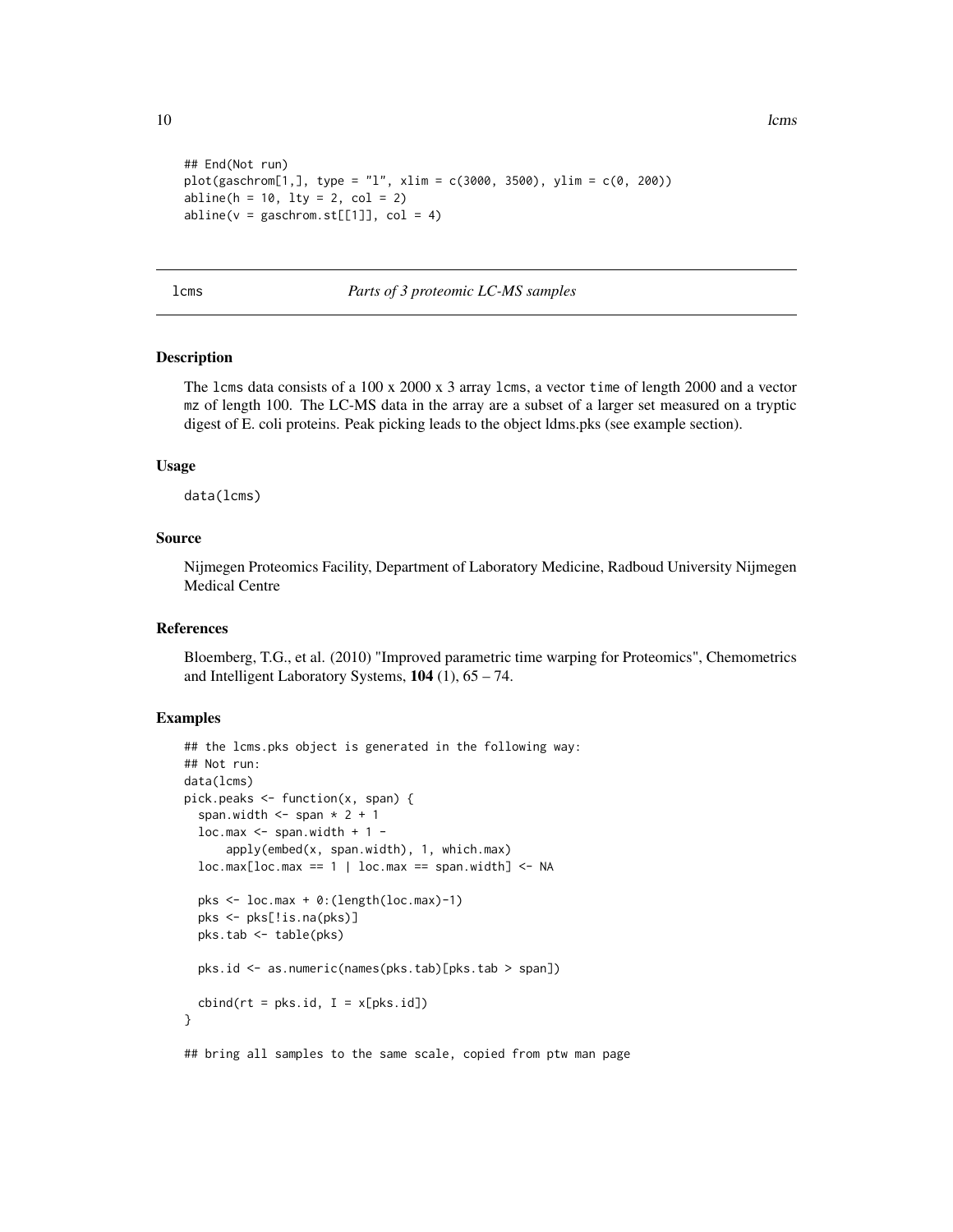```
## End(Not run)
plot(gaschrom[1,], type = "l", xlim = c(3000, 3500), ylim = c(0, 200))
abline(h = 10, 1ty = 2, col = 2)abline(v = gaschrom.st[[1]], col = 4)
```
<span id="page-9-1"></span>lcms *Parts of 3 proteomic LC-MS samples*

# Description

The lcms data consists of a 100 x 2000 x 3 array lcms, a vector time of length 2000 and a vector mz of length 100. The LC-MS data in the array are a subset of a larger set measured on a tryptic digest of E. coli proteins. Peak picking leads to the object ldms.pks (see example section).

#### Usage

data(lcms)

#### Source

Nijmegen Proteomics Facility, Department of Laboratory Medicine, Radboud University Nijmegen Medical Centre

#### References

Bloemberg, T.G., et al. (2010) "Improved parametric time warping for Proteomics", Chemometrics and Intelligent Laboratory Systems, 104 (1), 65 – 74.

#### Examples

```
## the lcms.pks object is generated in the following way:
## Not run:
data(lcms)
pick.peaks <- function(x, span) {
 span.width \leq span * 2 + 1
 loc.max \leq span.width + 1 -apply(embed(x, span.width), 1, which.max)
 loc.max[loc.max == 1 | loc.max == span<u>装i>span(width] &lt;- NA</u>
 pks <- loc.max + 0:(length(loc.max)-1)
 pks <- pks[!is.na(pks)]
 pks.tab <- table(pks)
 pks.id <- as.numeric(names(pks.tab)[pks.tab > span])
 cbind(rt = pks.id, I = x[pks.id])}
```
## bring all samples to the same scale, copied from ptw man page

<span id="page-9-0"></span>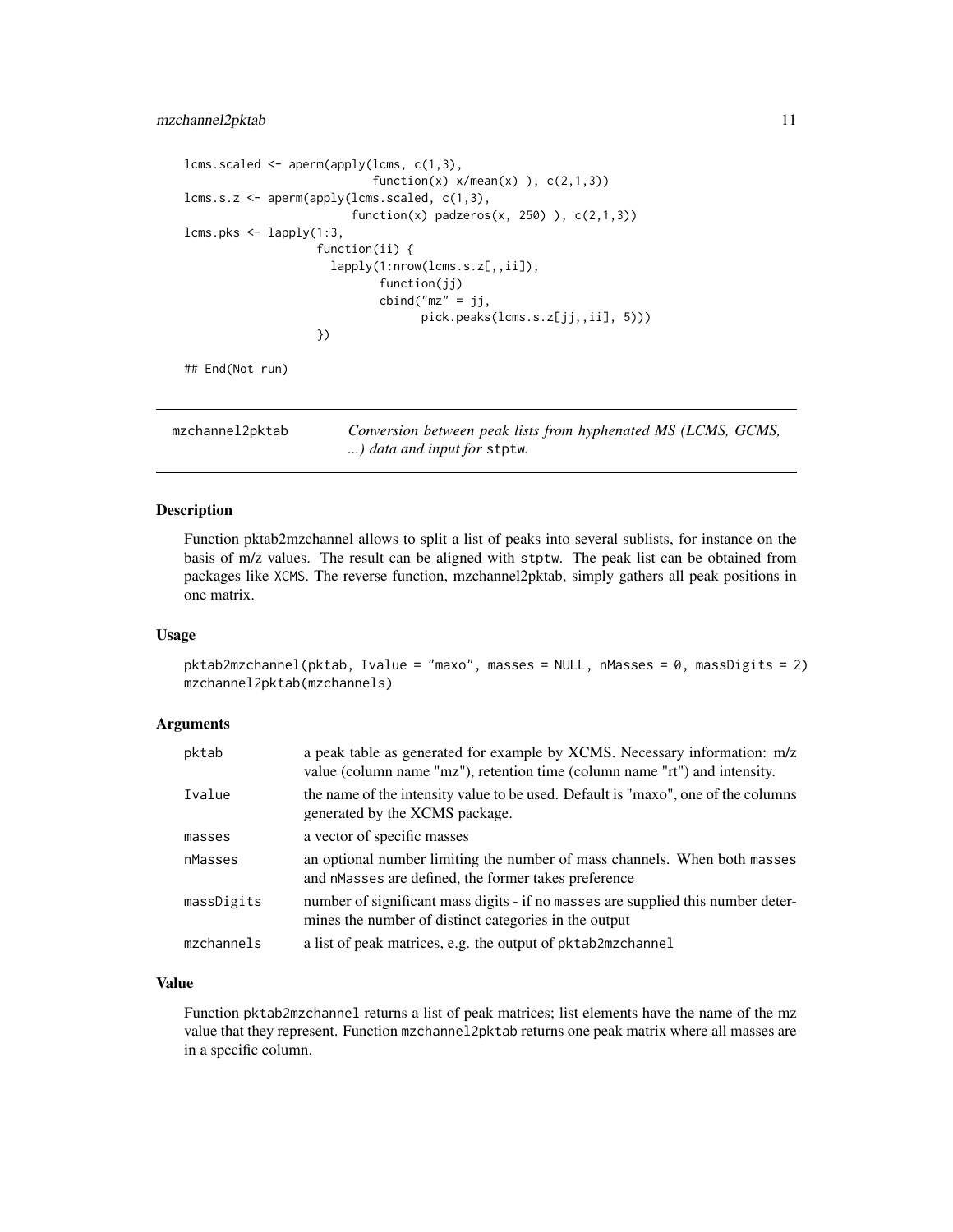# <span id="page-10-0"></span>mzchannel2pktab 11

```
lcms.scaled \leq aperm(apply(lcms, c(1,3),
                           function(x) x/mean(x) ), c(2,1,3)lcms.s.z <- aperm(apply(lcms.scaled, c(1,3),
                        function(x) padzeros(x, 250) ), c(2,1,3))
lcms.pks <- lapply(1:3,
                   function(ii) {
                     lapply(1:nrow(lcms.s.z[,,ii]),
                            function(jj)
                            cbind("mz" = jj,pick.peaks(lcms.s.z[jj,,ii], 5)))
                   })
## End(Not run)
```
mzchannel2pktab *Conversion between peak lists from hyphenated MS (LCMS, GCMS, ...) data and input for* stptw*.*

#### Description

Function pktab2mzchannel allows to split a list of peaks into several sublists, for instance on the basis of m/z values. The result can be aligned with stptw. The peak list can be obtained from packages like XCMS. The reverse function, mzchannel2pktab, simply gathers all peak positions in one matrix.

#### Usage

pktab2mzchannel(pktab, Ivalue = "maxo", masses = NULL, nMasses = 0, massDigits = 2) mzchannel2pktab(mzchannels)

#### Arguments

| pktab      | a peak table as generated for example by XCMS. Necessary information: m/z<br>value (column name "mz"), retention time (column name "rt") and intensity. |
|------------|---------------------------------------------------------------------------------------------------------------------------------------------------------|
| Ivalue     | the name of the intensity value to be used. Default is "maxo", one of the columns<br>generated by the XCMS package.                                     |
| masses     | a vector of specific masses                                                                                                                             |
| nMasses    | an optional number limiting the number of mass channels. When both masses<br>and nMasses are defined, the former takes preference                       |
| massDigits | number of significant mass digits - if no masses are supplied this number deter-<br>mines the number of distinct categories in the output               |
| mzchannels | a list of peak matrices, e.g. the output of pktab2mzchannel                                                                                             |

### Value

Function pktab2mzchannel returns a list of peak matrices; list elements have the name of the mz value that they represent. Function mzchannel2pktab returns one peak matrix where all masses are in a specific column.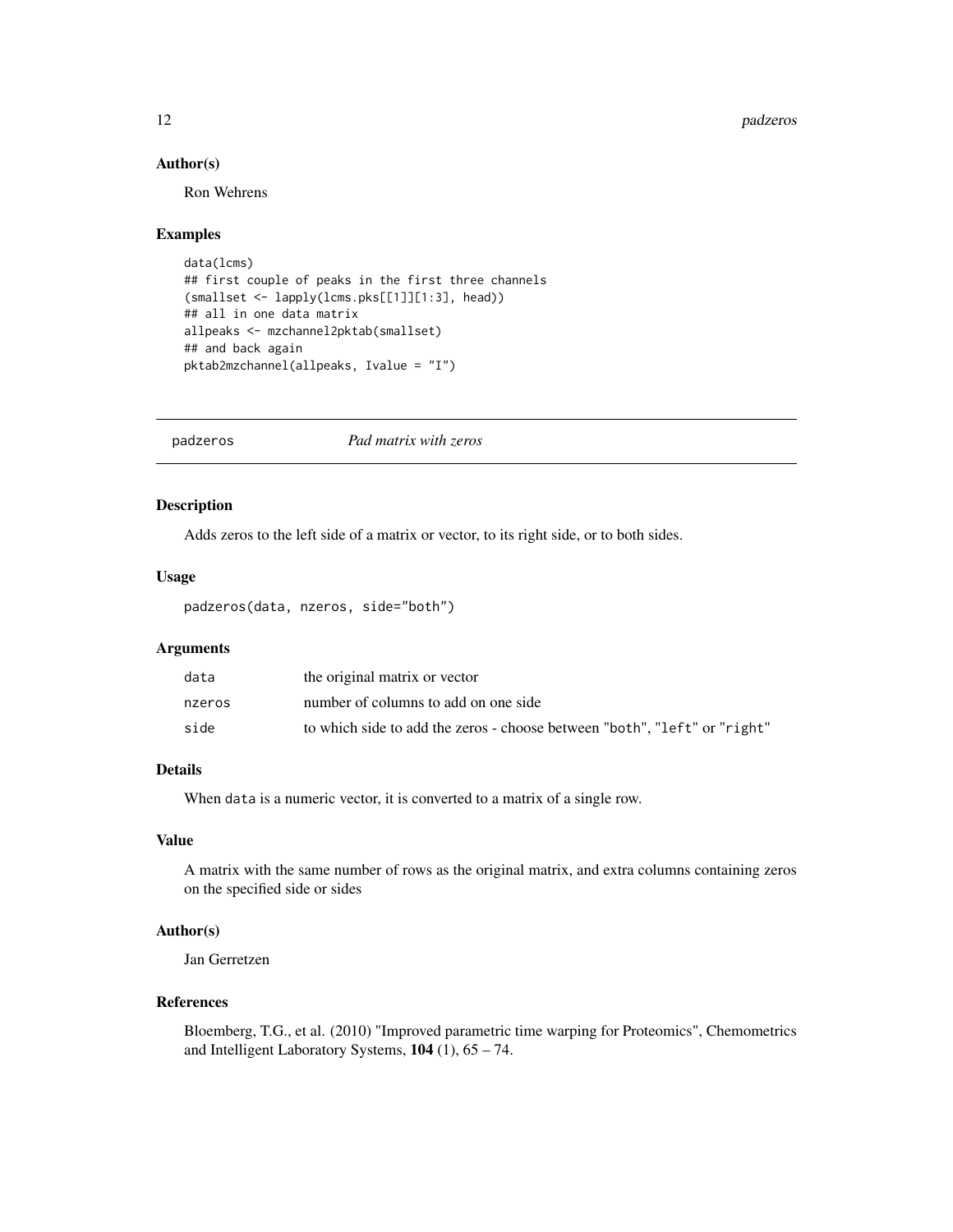#### <span id="page-11-0"></span>12 padzeros

#### Author(s)

Ron Wehrens

# Examples

```
data(lcms)
## first couple of peaks in the first three channels
(smallset <- lapply(lcms.pks[[1]][1:3], head))
## all in one data matrix
allpeaks <- mzchannel2pktab(smallset)
## and back again
pktab2mzchannel(allpeaks, Ivalue = "I")
```
<span id="page-11-1"></span>padzeros *Pad matrix with zeros*

# Description

Adds zeros to the left side of a matrix or vector, to its right side, or to both sides.

#### Usage

padzeros(data, nzeros, side="both")

#### Arguments

| data   | the original matrix or vector                                             |
|--------|---------------------------------------------------------------------------|
| nzeros | number of columns to add on one side                                      |
| side   | to which side to add the zeros - choose between "both", "left" or "right" |

# Details

When data is a numeric vector, it is converted to a matrix of a single row.

#### Value

A matrix with the same number of rows as the original matrix, and extra columns containing zeros on the specified side or sides

#### Author(s)

Jan Gerretzen

# References

Bloemberg, T.G., et al. (2010) "Improved parametric time warping for Proteomics", Chemometrics and Intelligent Laboratory Systems, 104 (1), 65 – 74.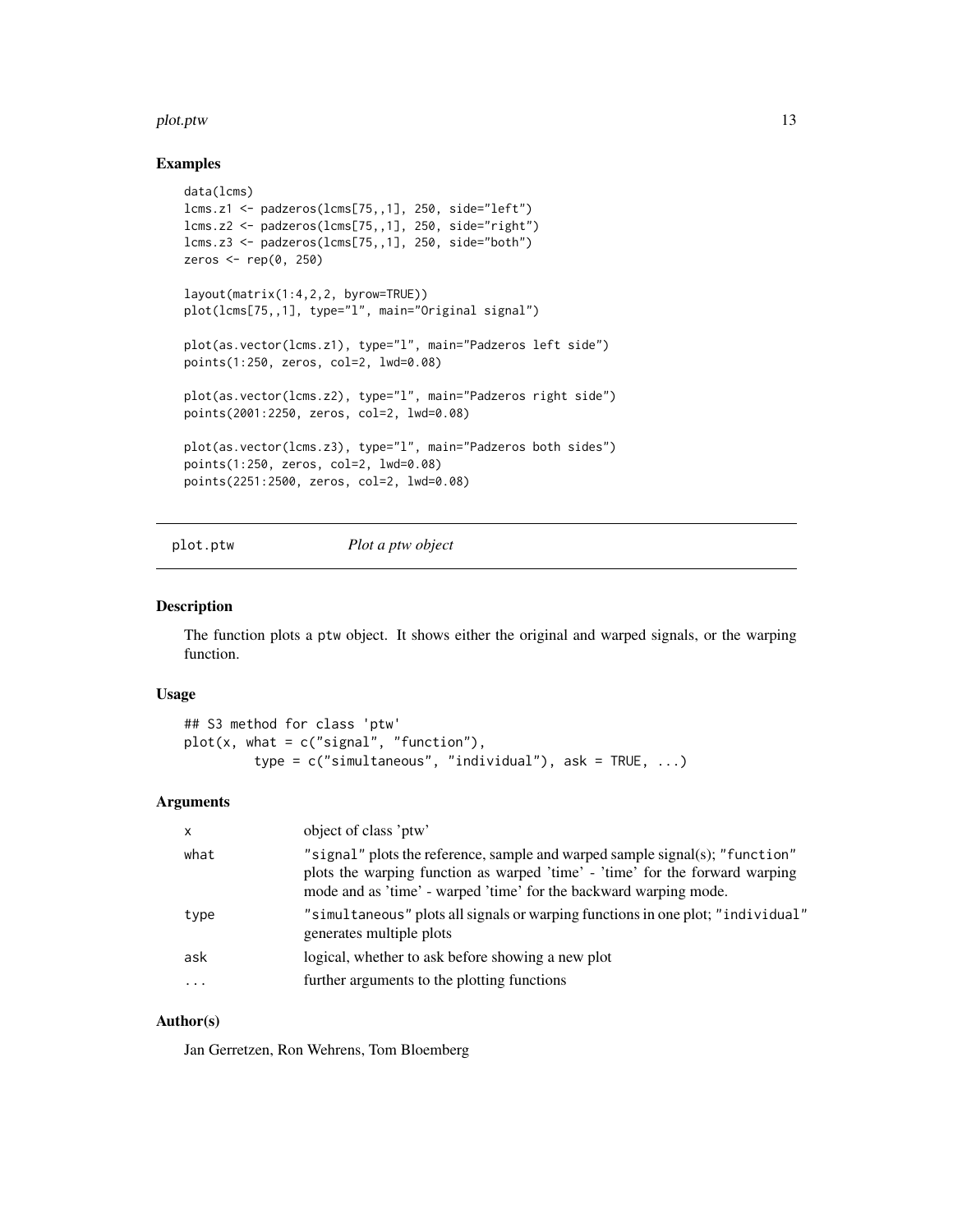#### <span id="page-12-0"></span>plot.ptw that the contract of the contract of the contract of the contract of the contract of the contract of the contract of the contract of the contract of the contract of the contract of the contract of the contract of

#### Examples

```
data(lcms)
lcms.z1 <- padzeros(lcms[75,,1], 250, side="left")
lcms.z2 <- padzeros(lcms[75,,1], 250, side="right")
lcms.z3 <- padzeros(lcms[75,,1], 250, side="both")
zeros <- rep(0, 250)
layout(matrix(1:4,2,2, byrow=TRUE))
plot(lcms[75,,1], type="l", main="Original signal")
plot(as.vector(lcms.z1), type="l", main="Padzeros left side")
points(1:250, zeros, col=2, lwd=0.08)
plot(as.vector(lcms.z2), type="l", main="Padzeros right side")
points(2001:2250, zeros, col=2, lwd=0.08)
plot(as.vector(lcms.z3), type="l", main="Padzeros both sides")
points(1:250, zeros, col=2, lwd=0.08)
points(2251:2500, zeros, col=2, lwd=0.08)
```
plot.ptw *Plot a ptw object*

# Description

The function plots a ptw object. It shows either the original and warped signals, or the warping function.

#### Usage

```
## S3 method for class 'ptw'
plot(x, what = c("signal", "function"),type = c("simultaneous", "individual"), ask = TRUE, ...)
```
# Arguments

| object of class 'ptw'<br>X                               |                                                                                                                                                                                                                                   |
|----------------------------------------------------------|-----------------------------------------------------------------------------------------------------------------------------------------------------------------------------------------------------------------------------------|
| what                                                     | "signal" plots the reference, sample and warped sample signal(s); "function"<br>plots the warping function as warped 'time' - 'time' for the forward warping<br>mode and as 'time' - warped 'time' for the backward warping mode. |
| type<br>generates multiple plots                         | "simultaneous" plots all signals or warping functions in one plot; "individual"                                                                                                                                                   |
| logical, whether to ask before showing a new plot<br>ask |                                                                                                                                                                                                                                   |
| further arguments to the plotting functions<br>$\ddotsc$ |                                                                                                                                                                                                                                   |

#### Author(s)

Jan Gerretzen, Ron Wehrens, Tom Bloemberg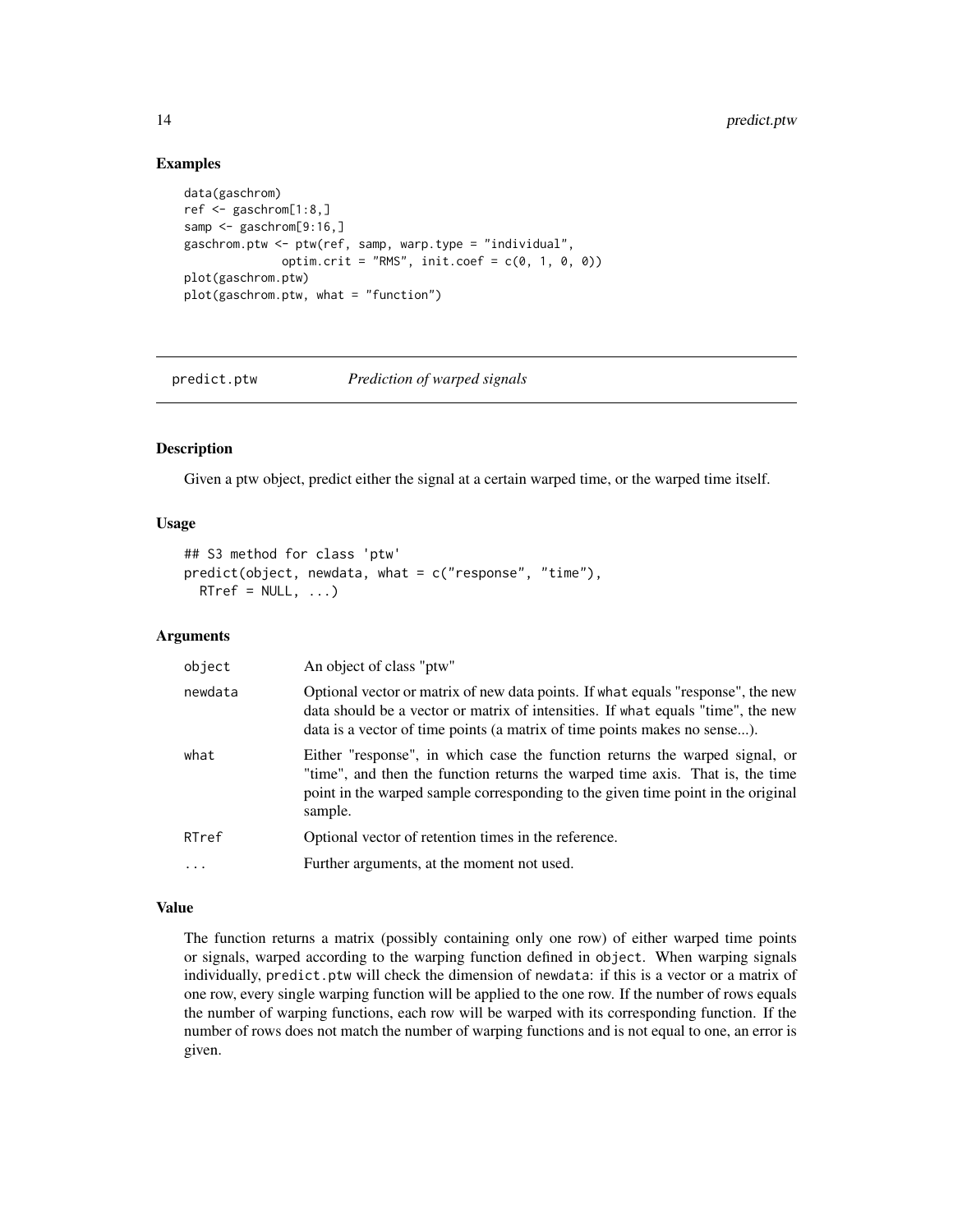# Examples

```
data(gaschrom)
ref <- gaschrom[1:8,]
samp <- gaschrom[9:16,]
gaschrom.ptw <- ptw(ref, samp, warp.type = "individual",
               optim.crit = "RMS", init.coef = c(\theta, 1, \theta, \theta))
plot(gaschrom.ptw)
plot(gaschrom.ptw, what = "function")
```
predict.ptw *Prediction of warped signals*

#### Description

Given a ptw object, predict either the signal at a certain warped time, or the warped time itself.

#### Usage

```
## S3 method for class 'ptw'
predict(object, newdata, what = c("response", "time"),
 RTref = NULL, ...
```
#### Arguments

| object  | An object of class "ptw"                                                                                                                                                                                                                                    |  |  |  |  |  |
|---------|-------------------------------------------------------------------------------------------------------------------------------------------------------------------------------------------------------------------------------------------------------------|--|--|--|--|--|
| newdata | Optional vector or matrix of new data points. If what equals "response", the new<br>data should be a vector or matrix of intensities. If what equals "time", the new<br>data is a vector of time points (a matrix of time points makes no sense).           |  |  |  |  |  |
| what    | Either "response", in which case the function returns the warped signal, or<br>"time", and then the function returns the warped time axis. That is, the time<br>point in the warped sample corresponding to the given time point in the original<br>sample. |  |  |  |  |  |
| RTref   | Optional vector of retention times in the reference.                                                                                                                                                                                                        |  |  |  |  |  |
| .       | Further arguments, at the moment not used.                                                                                                                                                                                                                  |  |  |  |  |  |

# Value

The function returns a matrix (possibly containing only one row) of either warped time points or signals, warped according to the warping function defined in object. When warping signals individually, predict.ptw will check the dimension of newdata: if this is a vector or a matrix of one row, every single warping function will be applied to the one row. If the number of rows equals the number of warping functions, each row will be warped with its corresponding function. If the number of rows does not match the number of warping functions and is not equal to one, an error is given.

<span id="page-13-0"></span>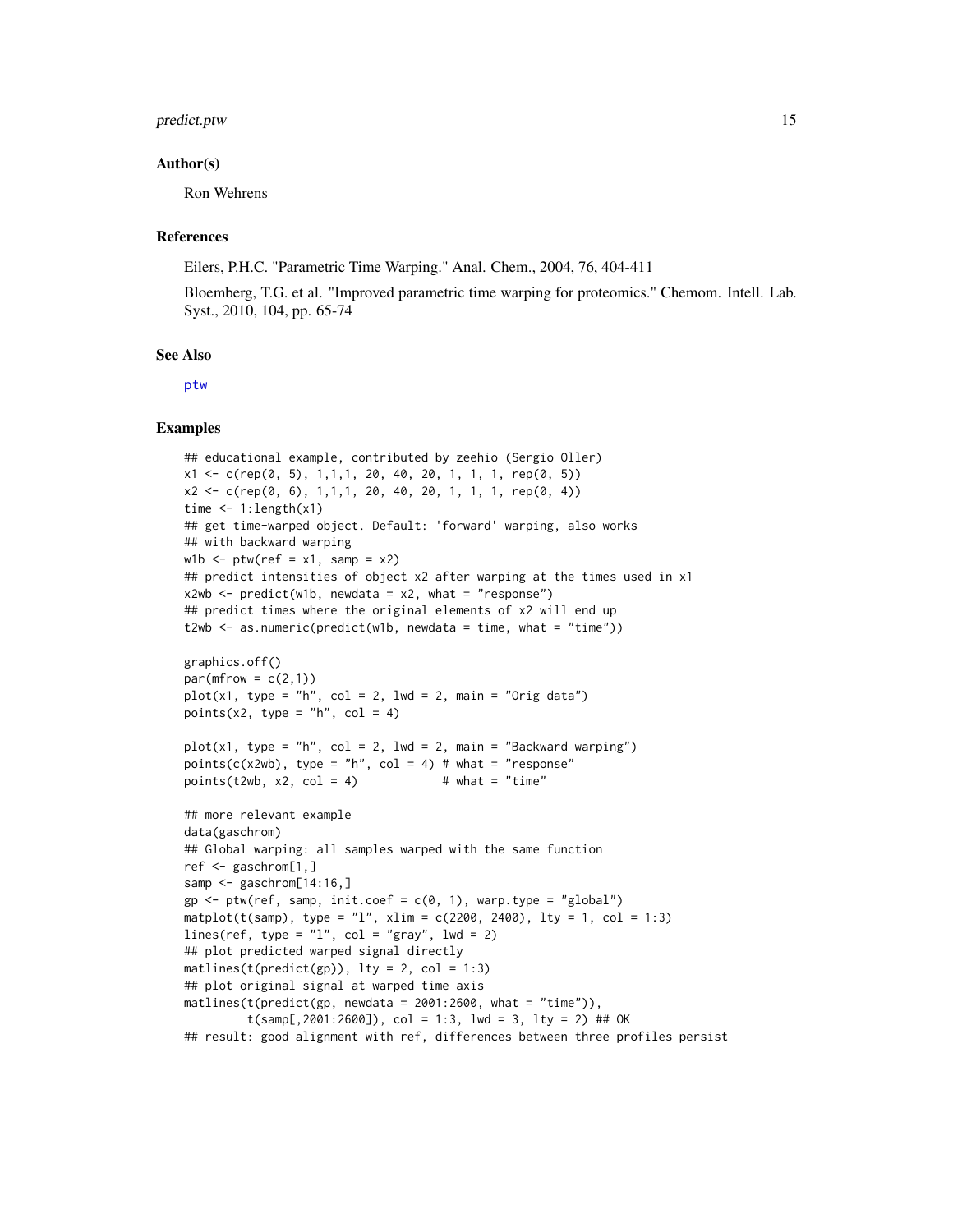#### <span id="page-14-0"></span>predict.ptw 15

#### Author(s)

Ron Wehrens

#### References

Eilers, P.H.C. "Parametric Time Warping." Anal. Chem., 2004, 76, 404-411

Bloemberg, T.G. et al. "Improved parametric time warping for proteomics." Chemom. Intell. Lab. Syst., 2010, 104, pp. 65-74

#### See Also

[ptw](#page-15-1)

# Examples

```
## educational example, contributed by zeehio (Sergio Oller)
x1 \leftarrow c(rep(\emptyset, 5), 1, 1, 1, 2\emptyset, 4\emptyset, 2\emptyset, 1, 1, 1, rep(\emptyset, 5))x2 \leq c(\text{rep}(0, 6), 1, 1, 1, 20, 40, 20, 1, 1, 1, \text{rep}(0, 4))time \leq -1: length(x1)
## get time-warped object. Default: 'forward' warping, also works
## with backward warping
w1b \leq -ptw(ref = x1, samp = x2)## predict intensities of object x2 after warping at the times used in x1
x2wb \le predict(w1b, newdata = x2, what = "response")
## predict times where the original elements of x2 will end up
t2wb \leq as.numeric(predict(w1b, newdata = time, what = "time"))
graphics.off()
par(mfrow = c(2,1))plot(x1, type = "h", col = 2, lwd = 2, main = "Orig data")points(x2, type = nh'', col = 4)
plot(x1, type = "h", col = 2, lwd = 2, main = "Backward warping")points(c(x2wb), type = "h", col = 4) # what = "response"points(t2wb, x2, col = 4) # what = "time"
## more relevant example
data(gaschrom)
## Global warping: all samples warped with the same function
ref <- gaschrom[1,]
samp <- gaschrom[14:16,]
gp \leq ptw(ref, samp, init.coef = c(0, 1), warp.type = "global")matplot(t(samp), type = "l", xlim = c(2200, 2400), lty = 1, col = 1:3)
lines(ref, type = "l", col = "gray", lud = 2)## plot predicted warped signal directly
matlines(t(predict(gp)), lty = 2, col = 1:3)
## plot original signal at warped time axis
mathinatlines(t(predict(gp, newdata = 2001:2600, what = "time")),
         t(samp[, 2001:2600]), col = 1:3, 1wd = 3, 1ty = 2) ## OK
## result: good alignment with ref, differences between three profiles persist
```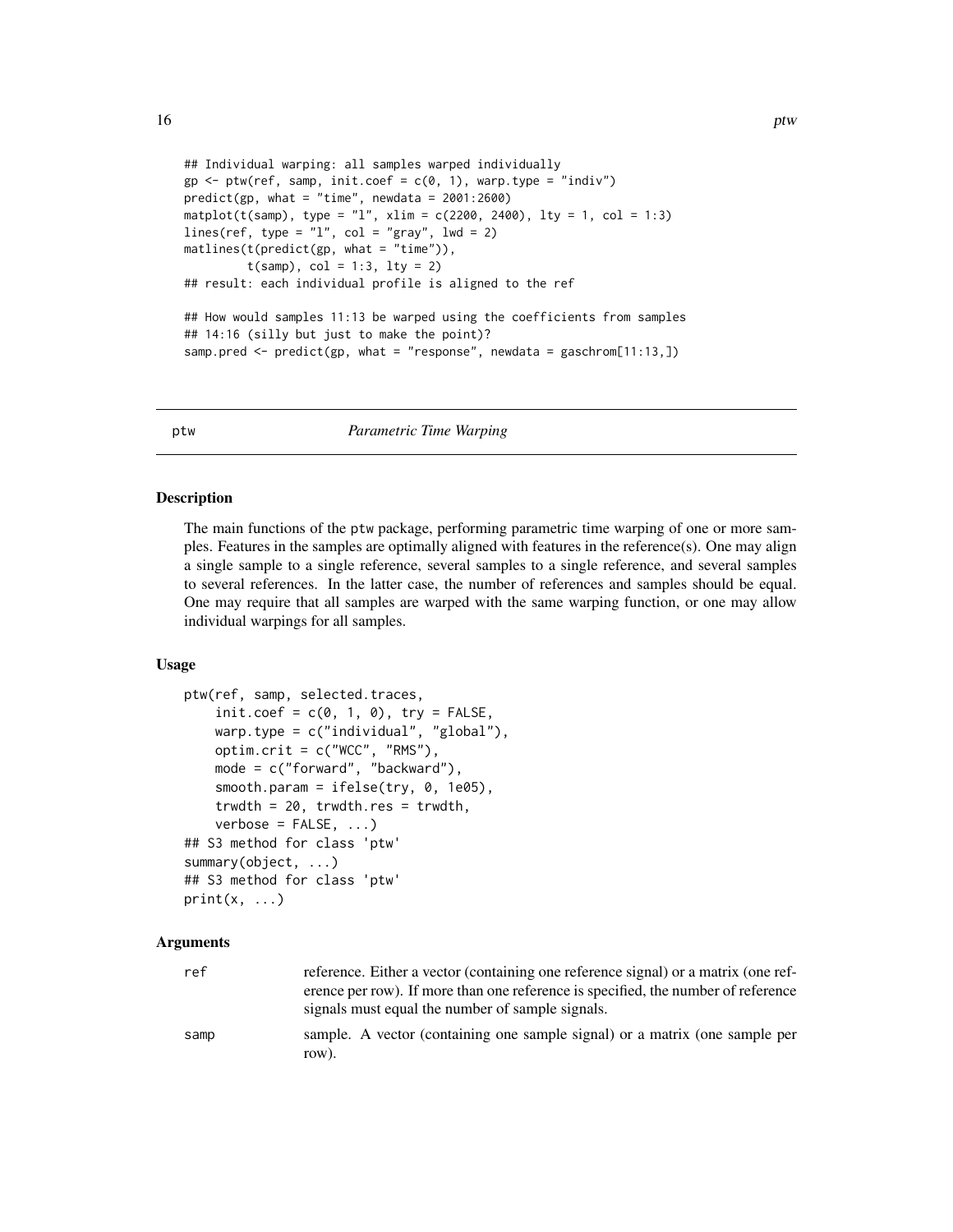```
## Individual warping: all samples warped individually
gp \leq ptw(ref, samp, init.coef = c(0, 1), warp.type = "indiv")predict(gp, what = "time", newdata = 2001:2600)
matplot(t(samp), type = "l", xlim = c(2200, 2400), lty = 1, col = 1:3)
lines(ref, type = "l", col = "gray", lwd = 2)
matlines(t(predict(gp, what = "time")),
         t(samp), col = 1:3, lty = 2)
## result: each individual profile is aligned to the ref
## How would samples 11:13 be warped using the coefficients from samples
## 14:16 (silly but just to make the point)?
samp.pred <- predict(gp, what = "response", newdata = gaschrom[11:13,])
```
<span id="page-15-1"></span>

```
ptw Parametric Time Warping
```
#### Description

The main functions of the ptw package, performing parametric time warping of one or more samples. Features in the samples are optimally aligned with features in the reference(s). One may align a single sample to a single reference, several samples to a single reference, and several samples to several references. In the latter case, the number of references and samples should be equal. One may require that all samples are warped with the same warping function, or one may allow individual warpings for all samples.

#### Usage

```
ptw(ref, samp, selected.traces,
    init.coef = c(0, 1, 0), try = FALSE,warp.type = c("individual", "global"),
    optim.crit = c("WCC", "RMS"),
    mode = c("forward", "backward"),
    smooth.param = ifelse(try, 0, 1e05),
    trwdth = 20, trwdth.res = trwdth,
    verbose = FALSE, ...## S3 method for class 'ptw'
summary(object, ...)
## S3 method for class 'ptw'
print(x, \ldots)
```
#### Arguments

| ref  | reference. Either a vector (containing one reference signal) or a matrix (one ref-<br>erence per row). If more than one reference is specified, the number of reference<br>signals must equal the number of sample signals. |
|------|-----------------------------------------------------------------------------------------------------------------------------------------------------------------------------------------------------------------------------|
| samp | sample. A vector (containing one sample signal) or a matrix (one sample per<br>row).                                                                                                                                        |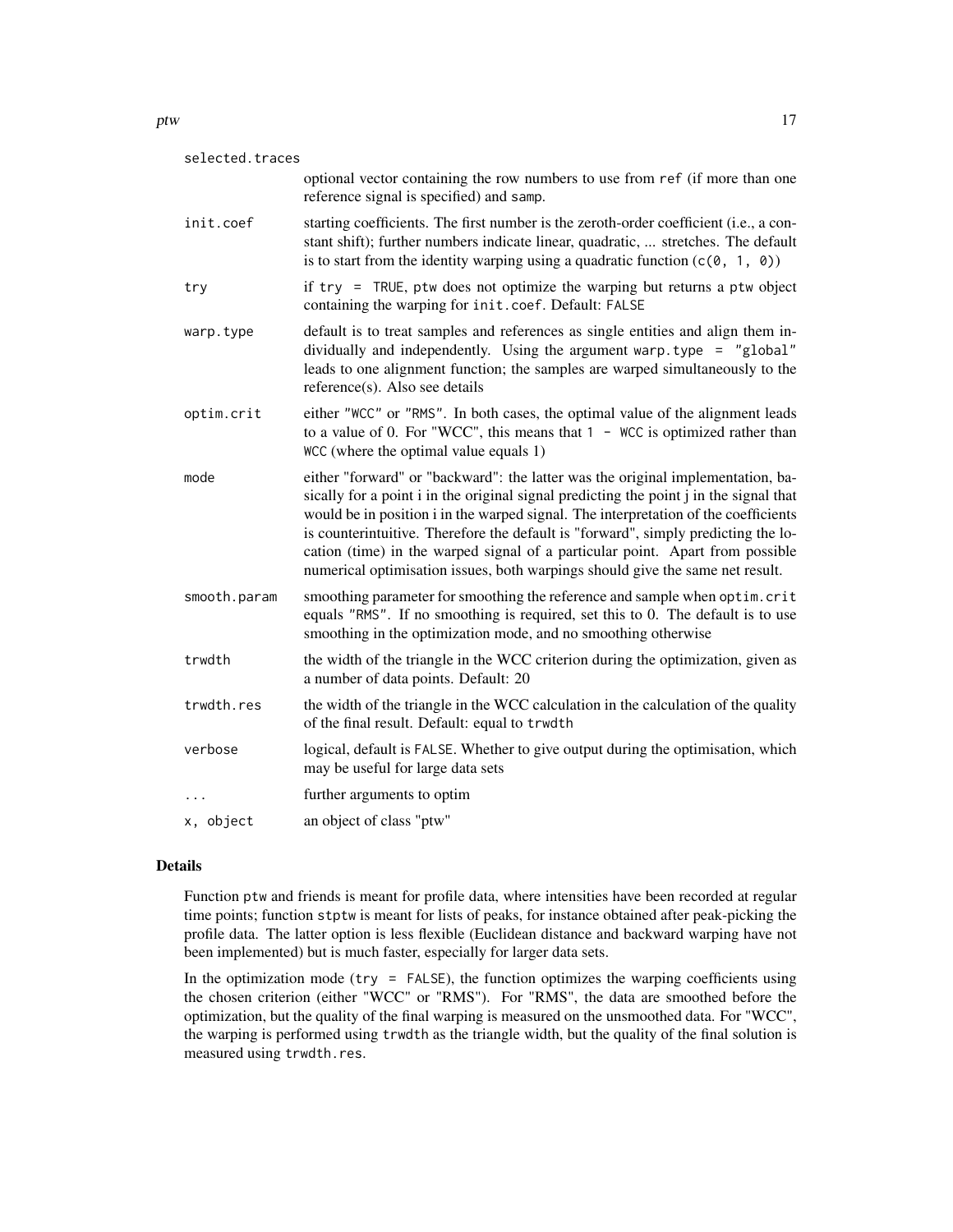| selected.traces |                                                                                                                                                                                                                                                                                                                                                                                                                                                                                                                          |
|-----------------|--------------------------------------------------------------------------------------------------------------------------------------------------------------------------------------------------------------------------------------------------------------------------------------------------------------------------------------------------------------------------------------------------------------------------------------------------------------------------------------------------------------------------|
|                 | optional vector containing the row numbers to use from ref (if more than one<br>reference signal is specified) and samp.                                                                                                                                                                                                                                                                                                                                                                                                 |
| init.coef       | starting coefficients. The first number is the zeroth-order coefficient (i.e., a con-<br>stant shift); further numbers indicate linear, quadratic,  stretches. The default<br>is to start from the identity warping using a quadratic function $(c(0, 1, 0))$                                                                                                                                                                                                                                                            |
| try             | if try = TRUE, ptw does not optimize the warping but returns a ptw object<br>containing the warping for init.coef. Default: FALSE                                                                                                                                                                                                                                                                                                                                                                                        |
| warp.type       | default is to treat samples and references as single entities and align them in-<br>dividually and independently. Using the argument warp.type = "global"<br>leads to one alignment function; the samples are warped simultaneously to the<br>reference(s). Also see details                                                                                                                                                                                                                                             |
| optim.crit      | either "WCC" or "RMS". In both cases, the optimal value of the alignment leads<br>to a value of 0. For "WCC", this means that $1 -$ WCC is optimized rather than<br>WCC (where the optimal value equals 1)                                                                                                                                                                                                                                                                                                               |
| mode            | either "forward" or "backward": the latter was the original implementation, ba-<br>sically for a point i in the original signal predicting the point j in the signal that<br>would be in position i in the warped signal. The interpretation of the coefficients<br>is counterintuitive. Therefore the default is "forward", simply predicting the lo-<br>cation (time) in the warped signal of a particular point. Apart from possible<br>numerical optimisation issues, both warpings should give the same net result. |
| smooth.param    | smoothing parameter for smoothing the reference and sample when optim. crit<br>equals "RMS". If no smoothing is required, set this to 0. The default is to use<br>smoothing in the optimization mode, and no smoothing otherwise                                                                                                                                                                                                                                                                                         |
| trwdth          | the width of the triangle in the WCC criterion during the optimization, given as<br>a number of data points. Default: 20                                                                                                                                                                                                                                                                                                                                                                                                 |
| trwdth.res      | the width of the triangle in the WCC calculation in the calculation of the quality<br>of the final result. Default: equal to trwdth                                                                                                                                                                                                                                                                                                                                                                                      |
| verbose         | logical, default is FALSE. Whether to give output during the optimisation, which<br>may be useful for large data sets                                                                                                                                                                                                                                                                                                                                                                                                    |
| $\cdots$        | further arguments to optim                                                                                                                                                                                                                                                                                                                                                                                                                                                                                               |
| x, object       | an object of class "ptw"                                                                                                                                                                                                                                                                                                                                                                                                                                                                                                 |

### Details

Function ptw and friends is meant for profile data, where intensities have been recorded at regular time points; function stptw is meant for lists of peaks, for instance obtained after peak-picking the profile data. The latter option is less flexible (Euclidean distance and backward warping have not been implemented) but is much faster, especially for larger data sets.

In the optimization mode ( $try = FALSE$ ), the function optimizes the warping coefficients using the chosen criterion (either "WCC" or "RMS"). For "RMS", the data are smoothed before the optimization, but the quality of the final warping is measured on the unsmoothed data. For "WCC", the warping is performed using trwdth as the triangle width, but the quality of the final solution is measured using trwdth.res.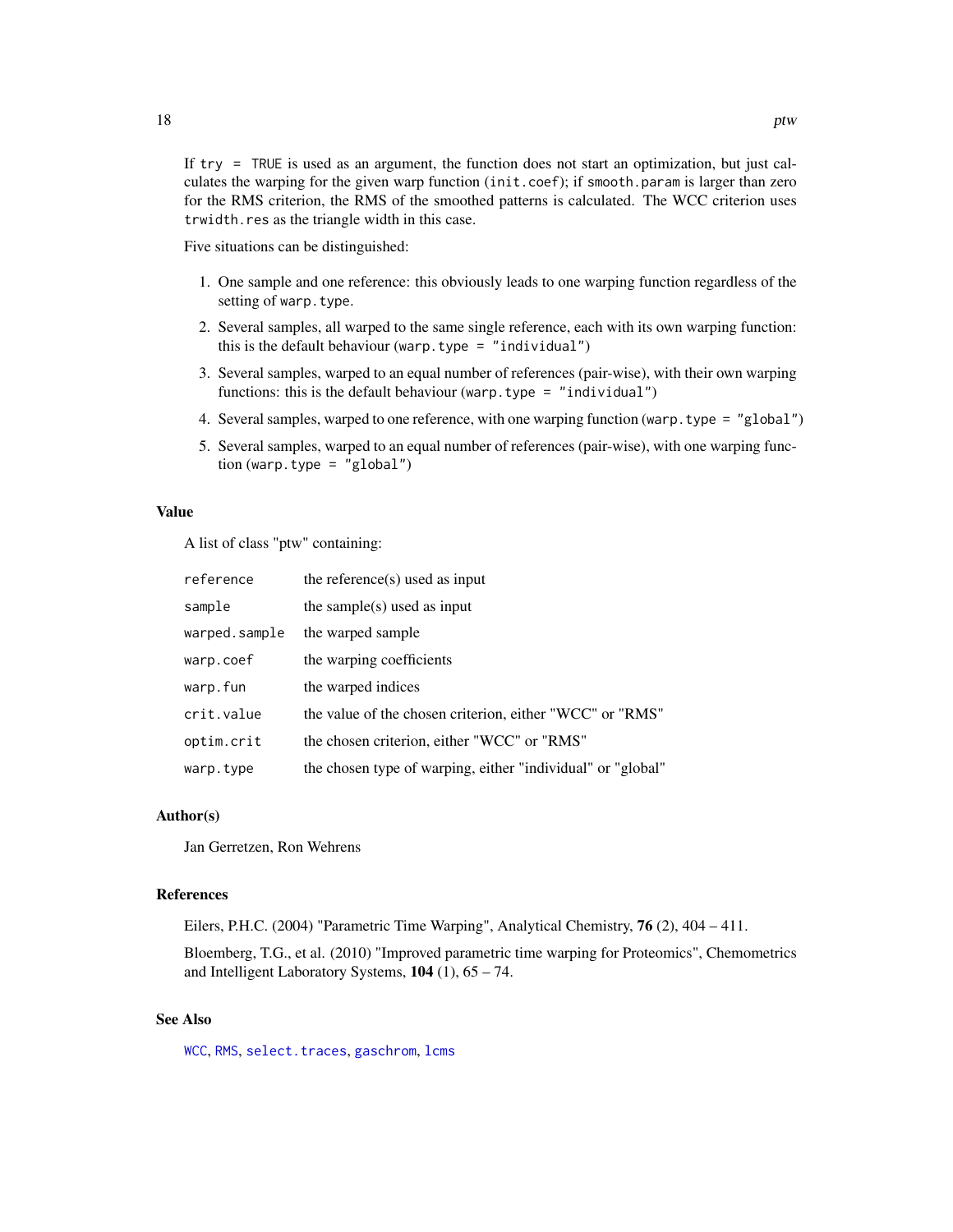<span id="page-17-0"></span>If try = TRUE is used as an argument, the function does not start an optimization, but just calculates the warping for the given warp function (init.coef); if smooth.param is larger than zero for the RMS criterion, the RMS of the smoothed patterns is calculated. The WCC criterion uses trwidth.res as the triangle width in this case.

Five situations can be distinguished:

- 1. One sample and one reference: this obviously leads to one warping function regardless of the setting of warp.type.
- 2. Several samples, all warped to the same single reference, each with its own warping function: this is the default behaviour (warp.type = "individual")
- 3. Several samples, warped to an equal number of references (pair-wise), with their own warping functions: this is the default behaviour (warp.type = "individual")
- 4. Several samples, warped to one reference, with one warping function (warp.type = "global")
- 5. Several samples, warped to an equal number of references (pair-wise), with one warping function (warp.type =  $"global")$

# Value

A list of class "ptw" containing:

| reference     | the reference $(s)$ used as input                           |
|---------------|-------------------------------------------------------------|
| sample        | the sample $(s)$ used as input                              |
| warped.sample | the warped sample                                           |
| warp.coef     | the warping coefficients                                    |
| warp.fun      | the warped indices                                          |
| crit.value    | the value of the chosen criterion, either "WCC" or "RMS"    |
| optim.crit    | the chosen criterion, either "WCC" or "RMS"                 |
| warp.type     | the chosen type of warping, either "individual" or "global" |

#### Author(s)

Jan Gerretzen, Ron Wehrens

#### References

Eilers, P.H.C. (2004) "Parametric Time Warping", Analytical Chemistry, 76 (2), 404 – 411.

Bloemberg, T.G., et al. (2010) "Improved parametric time warping for Proteomics", Chemometrics and Intelligent Laboratory Systems,  $104$  (1),  $65 - 74$ .

# See Also

[WCC](#page-21-1), [RMS](#page-21-2), [select.traces](#page-23-1), [gaschrom](#page-8-1), [lcms](#page-9-1)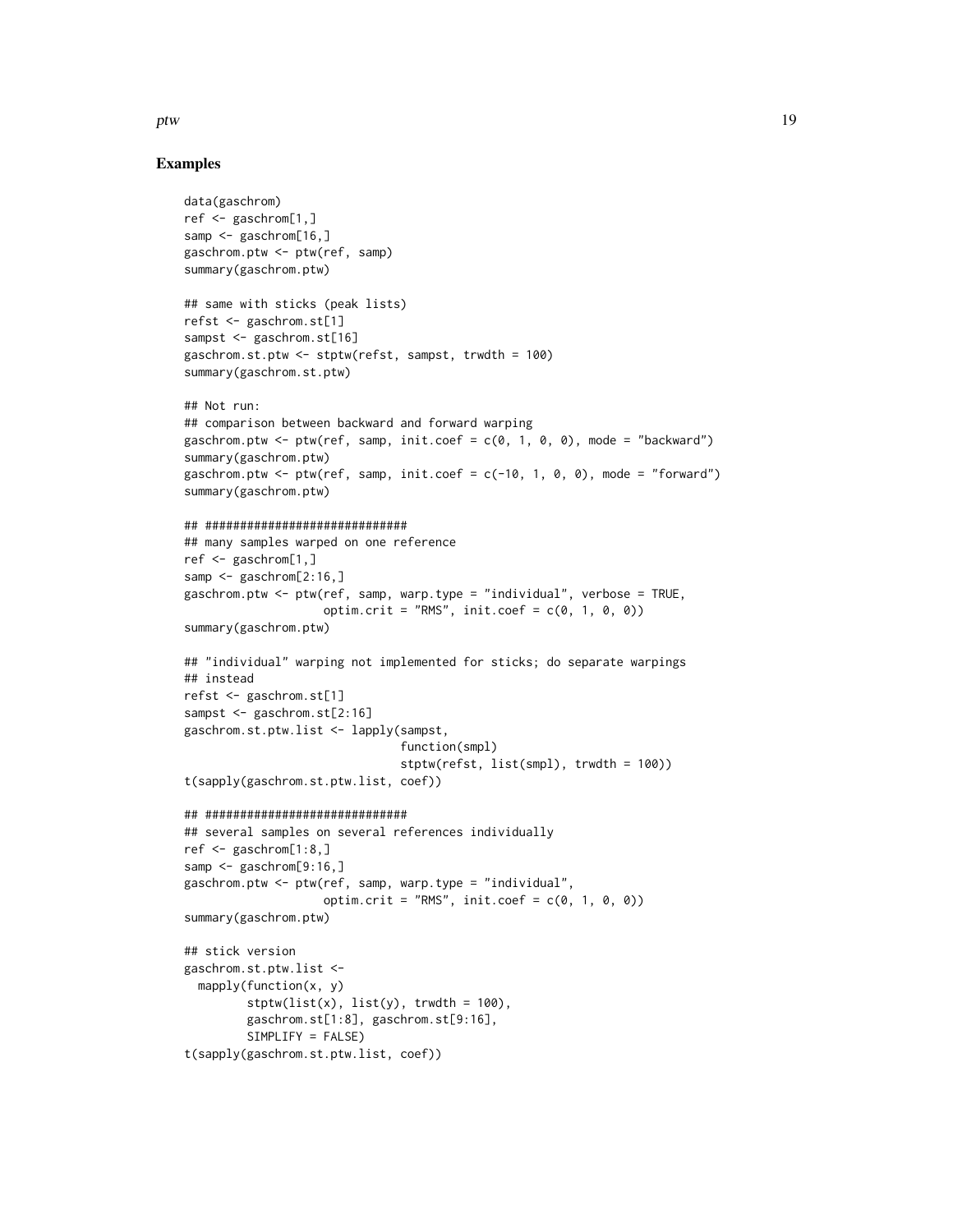ptw and the contract of the contract of the contract of the contract of the contract of the contract of the contract of the contract of the contract of the contract of the contract of the contract of the contract of the co

### Examples

```
data(gaschrom)
ref <- gaschrom[1,]
samp <- gaschrom[16,]
gaschrom.ptw <- ptw(ref, samp)
summary(gaschrom.ptw)
## same with sticks (peak lists)
refst <- gaschrom.st[1]
sampst <- gaschrom.st[16]
gaschrom.st.ptw <- stptw(refst, sampst, trwdth = 100)
summary(gaschrom.st.ptw)
## Not run:
## comparison between backward and forward warping
gaschrom.ptw <- ptw(ref, samp, init.coef = c(0, 1, 0, 0), mode = "backward")
summary(gaschrom.ptw)
gaschrom.ptw <- ptw(ref, samp, init.coef = c(-10, 1, 0, 0), mode = "forward")
summary(gaschrom.ptw)
## #############################
## many samples warped on one reference
ref <- gaschrom[1,]
samp <- gaschrom[2:16,]
gaschrom.ptw <- ptw(ref, samp, warp.type = "individual", verbose = TRUE,
                    optim.crit = "RMS", init.coef = c(0, 1, 0, 0))
summary(gaschrom.ptw)
## "individual" warping not implemented for sticks; do separate warpings
## instead
refst <- gaschrom.st[1]
sampst <- gaschrom.st[2:16]
gaschrom.st.ptw.list <- lapply(sampst,
                               function(smpl)
                               stptw(refst, list(smpl), trwdth = 100))
t(sapply(gaschrom.st.ptw.list, coef))
## #############################
## several samples on several references individually
ref <- gaschrom[1:8,]
samp <- gaschrom[9:16,]
gaschrom.ptw <- ptw(ref, samp, warp.type = "individual",
                    optim.crit = "RMS", init.coef = c(0, 1, 0, 0))
summary(gaschrom.ptw)
## stick version
gaschrom.st.ptw.list <-
  mapply(function(x, y)
         stptw(list(x), list(y), truth = 100),gaschrom.st[1:8], gaschrom.st[9:16],
         SIMPLIFY = FALSE)
t(sapply(gaschrom.st.ptw.list, coef))
```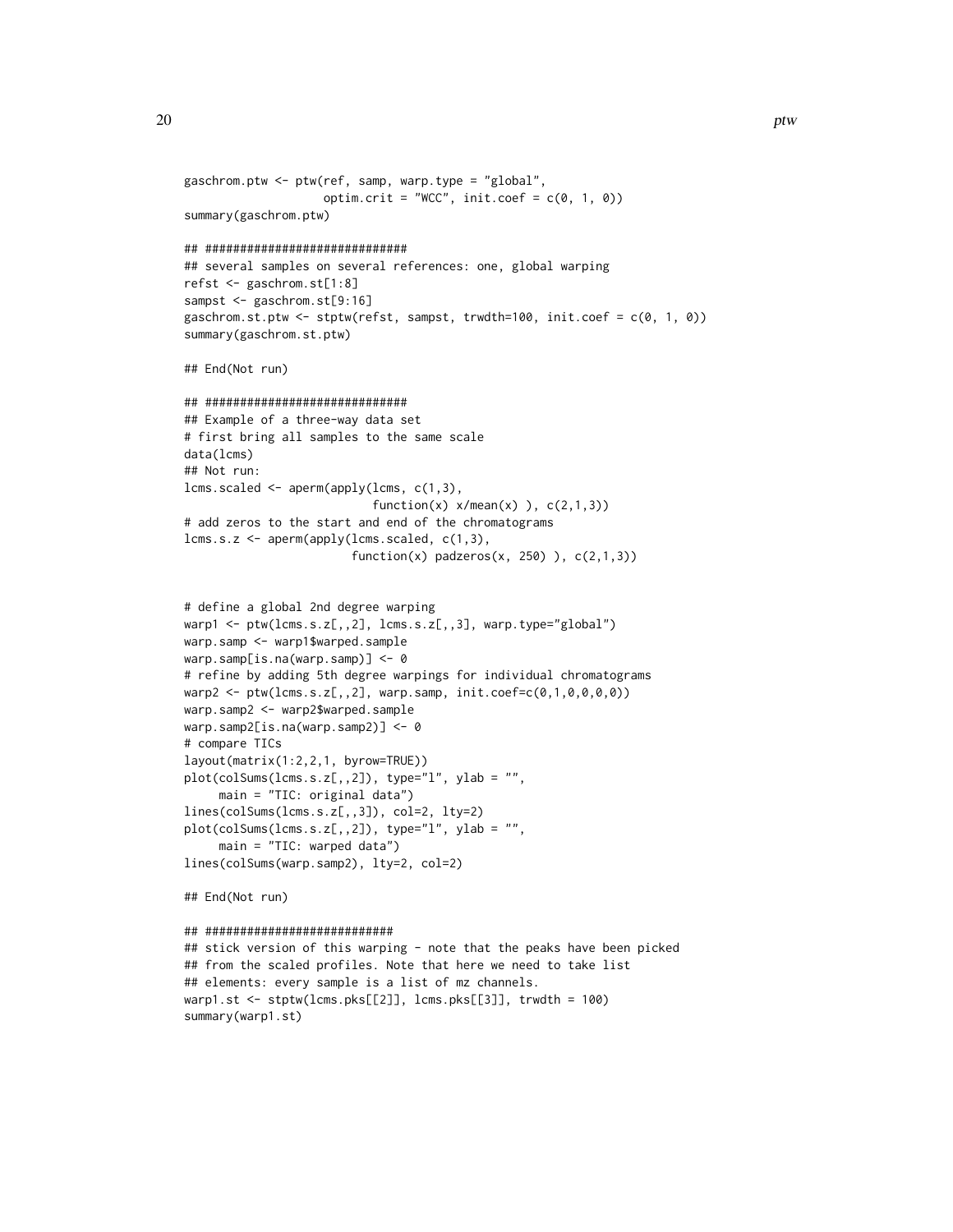```
gaschrom.ptw <- ptw(ref, samp, warp.type = "global",
                    optim.crit = "WCC", init.coef = c(0, 1, 0))
summary(gaschrom.ptw)
## #############################
## several samples on several references: one, global warping
refst <- gaschrom.st[1:8]
sampst <- gaschrom.st[9:16]
gaschrom.st.ptw <- stptw(refst, sampst, trwdth=100, init.coef = c(0, 1, 0))
summary(gaschrom.st.ptw)
## End(Not run)
## #############################
## Example of a three-way data set
# first bring all samples to the same scale
data(lcms)
## Not run:
lcms.scaled <- aperm(apply(lcms, c(1,3),
                           function(x) x/mean(x) ), c(2,1,3))
# add zeros to the start and end of the chromatograms
lcms.s.z <- aperm(apply(lcms.scaled, c(1,3),
                        function(x) padzeros(x, 250) ), c(2,1,3))
# define a global 2nd degree warping
warp1 <- ptw(lcms.s.z[,,2], lens.s.z[,,3], warp.type="global")warp.samp <- warp1$warped.sample
warp.samp[is.na(warp.samp)] <- 0
# refine by adding 5th degree warpings for individual chromatograms
warp2 <- ptw(lcms.s.z[,,2], warp.samp, init.corefc(0,1,0,0,0,0))warp.samp2 <- warp2$warped.sample
warp.samp2[is.na(warp.samp2)] <- 0
# compare TICs
layout(matrix(1:2,2,1, byrow=TRUE))
plot(colSums(lcms.s.z[,,2]), type="l", ylab = "",
     main = "TIC: original data")
lines(colSums(lcms.s.z[,,3]), col=2, lty=2)
plot(colSums(lcms.s.z[,,2]), type="l", ylab = "",
     main = "TIC: warped data")
lines(colSums(warp.samp2), lty=2, col=2)
## End(Not run)
## ###########################
## stick version of this warping - note that the peaks have been picked
```
## from the scaled profiles. Note that here we need to take list ## elements: every sample is a list of mz channels. warp1.st <- stptw(lcms.pks[[2]], lcms.pks[[3]], trwdth = 100) summary(warp1.st)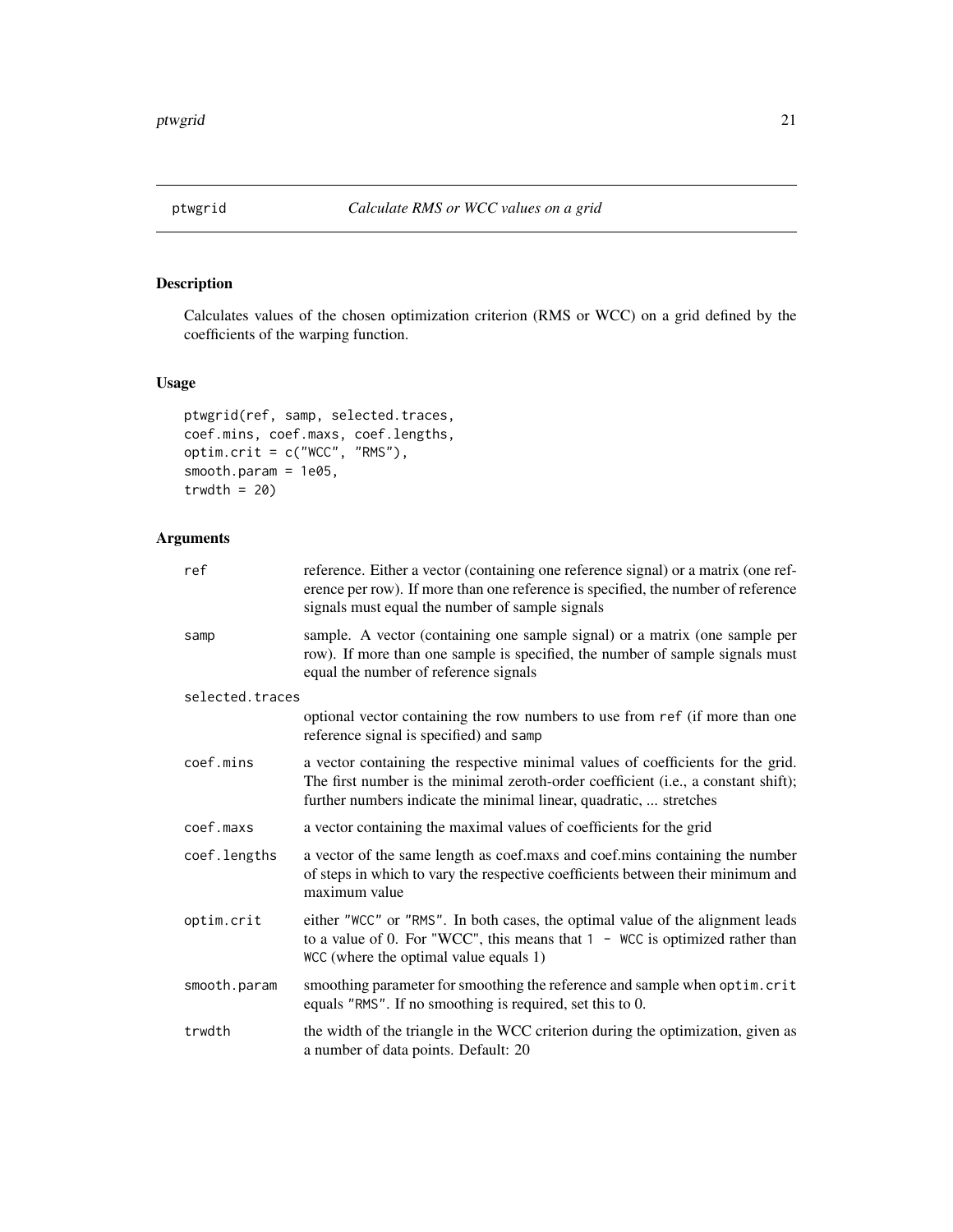<span id="page-20-0"></span>

# Description

Calculates values of the chosen optimization criterion (RMS or WCC) on a grid defined by the coefficients of the warping function.

# Usage

```
ptwgrid(ref, samp, selected.traces,
coef.mins, coef.maxs, coef.lengths,
optim.crit = c("WCC", "RMS"),
smooth.param = 1e05,
trwdth = 20
```
# Arguments

| ref             | reference. Either a vector (containing one reference signal) or a matrix (one ref-<br>erence per row). If more than one reference is specified, the number of reference<br>signals must equal the number of sample signals                  |  |  |  |  |  |
|-----------------|---------------------------------------------------------------------------------------------------------------------------------------------------------------------------------------------------------------------------------------------|--|--|--|--|--|
| samp            | sample. A vector (containing one sample signal) or a matrix (one sample per<br>row). If more than one sample is specified, the number of sample signals must<br>equal the number of reference signals                                       |  |  |  |  |  |
| selected.traces |                                                                                                                                                                                                                                             |  |  |  |  |  |
|                 | optional vector containing the row numbers to use from ref (if more than one<br>reference signal is specified) and samp                                                                                                                     |  |  |  |  |  |
| coef.mins       | a vector containing the respective minimal values of coefficients for the grid.<br>The first number is the minimal zeroth-order coefficient (i.e., a constant shift);<br>further numbers indicate the minimal linear, quadratic,  stretches |  |  |  |  |  |
| coef.maxs       | a vector containing the maximal values of coefficients for the grid                                                                                                                                                                         |  |  |  |  |  |
| coef.lengths    | a vector of the same length as coef.maxs and coef.mins containing the number<br>of steps in which to vary the respective coefficients between their minimum and<br>maximum value                                                            |  |  |  |  |  |
| optim.crit      | either "WCC" or "RMS". In both cases, the optimal value of the alignment leads<br>to a value of 0. For "WCC", this means that $1 -$ WCC is optimized rather than<br>WCC (where the optimal value equals 1)                                  |  |  |  |  |  |
| smooth.param    | smoothing parameter for smoothing the reference and sample when optim.crit<br>equals "RMS". If no smoothing is required, set this to 0.                                                                                                     |  |  |  |  |  |
| trwdth          | the width of the triangle in the WCC criterion during the optimization, given as<br>a number of data points. Default: 20                                                                                                                    |  |  |  |  |  |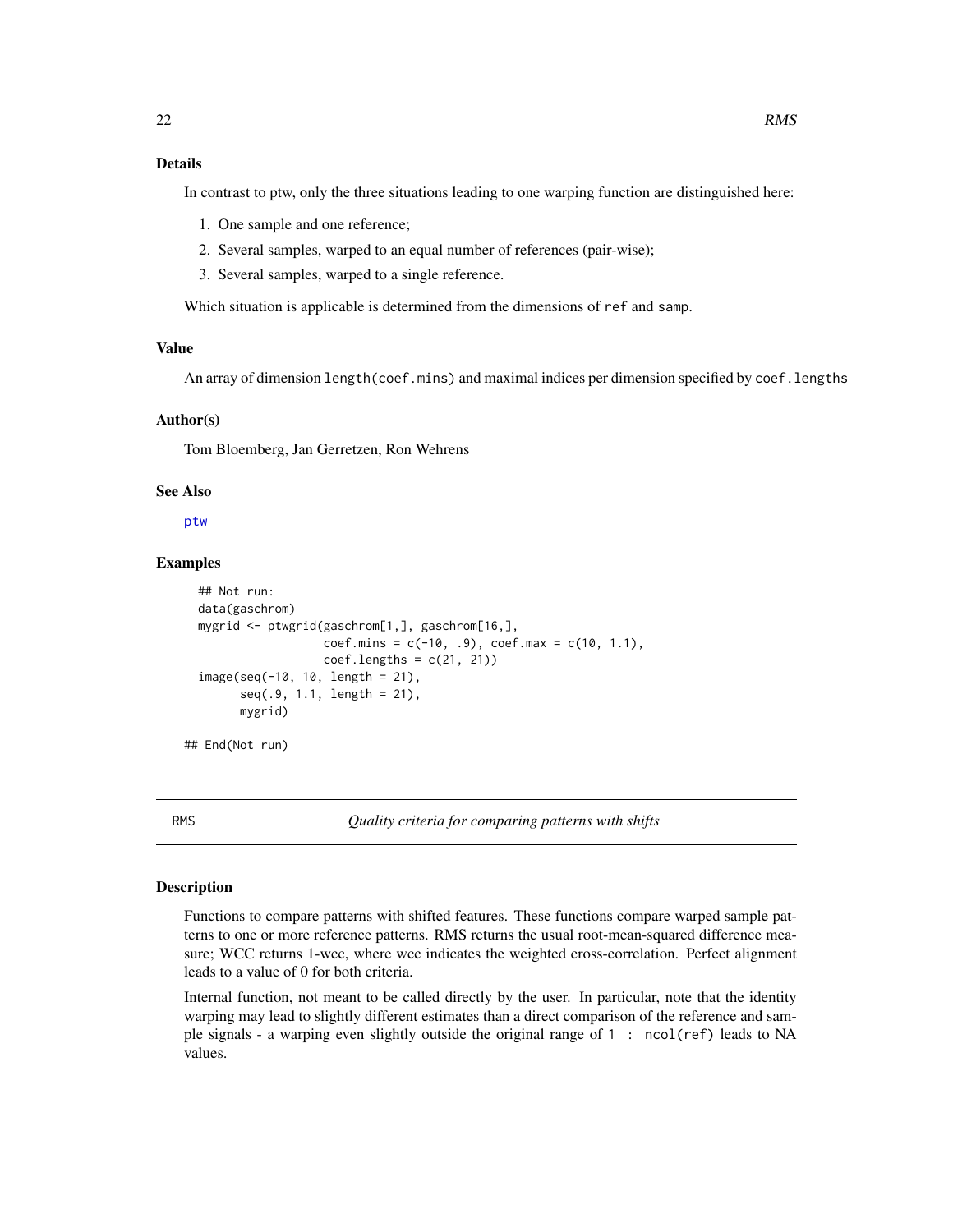# <span id="page-21-0"></span>Details

In contrast to ptw, only the three situations leading to one warping function are distinguished here:

- 1. One sample and one reference;
- 2. Several samples, warped to an equal number of references (pair-wise);
- 3. Several samples, warped to a single reference.

Which situation is applicable is determined from the dimensions of ref and samp.

#### Value

An array of dimension length(coef.mins) and maximal indices per dimension specified by coef.lengths

#### Author(s)

Tom Bloemberg, Jan Gerretzen, Ron Wehrens

#### See Also

[ptw](#page-15-1)

# Examples

```
## Not run:
data(gaschrom)
mygrid <- ptwgrid(gaschrom[1,], gaschrom[16,],
                  coef.mins = c(-10, .9), coef.max = c(10, 1.1),coef.lengths = c(21, 21)image(seq(-10, 10, length = 21),
      seq(.9, 1.1, length = 21),
      mygrid)
```
## End(Not run)

<span id="page-21-2"></span>

RMS *Quality criteria for comparing patterns with shifts*

#### <span id="page-21-1"></span>Description

Functions to compare patterns with shifted features. These functions compare warped sample patterns to one or more reference patterns. RMS returns the usual root-mean-squared difference measure; WCC returns 1-wcc, where wcc indicates the weighted cross-correlation. Perfect alignment leads to a value of 0 for both criteria.

Internal function, not meant to be called directly by the user. In particular, note that the identity warping may lead to slightly different estimates than a direct comparison of the reference and sample signals - a warping even slightly outside the original range of 1 : ncol(ref) leads to NA values.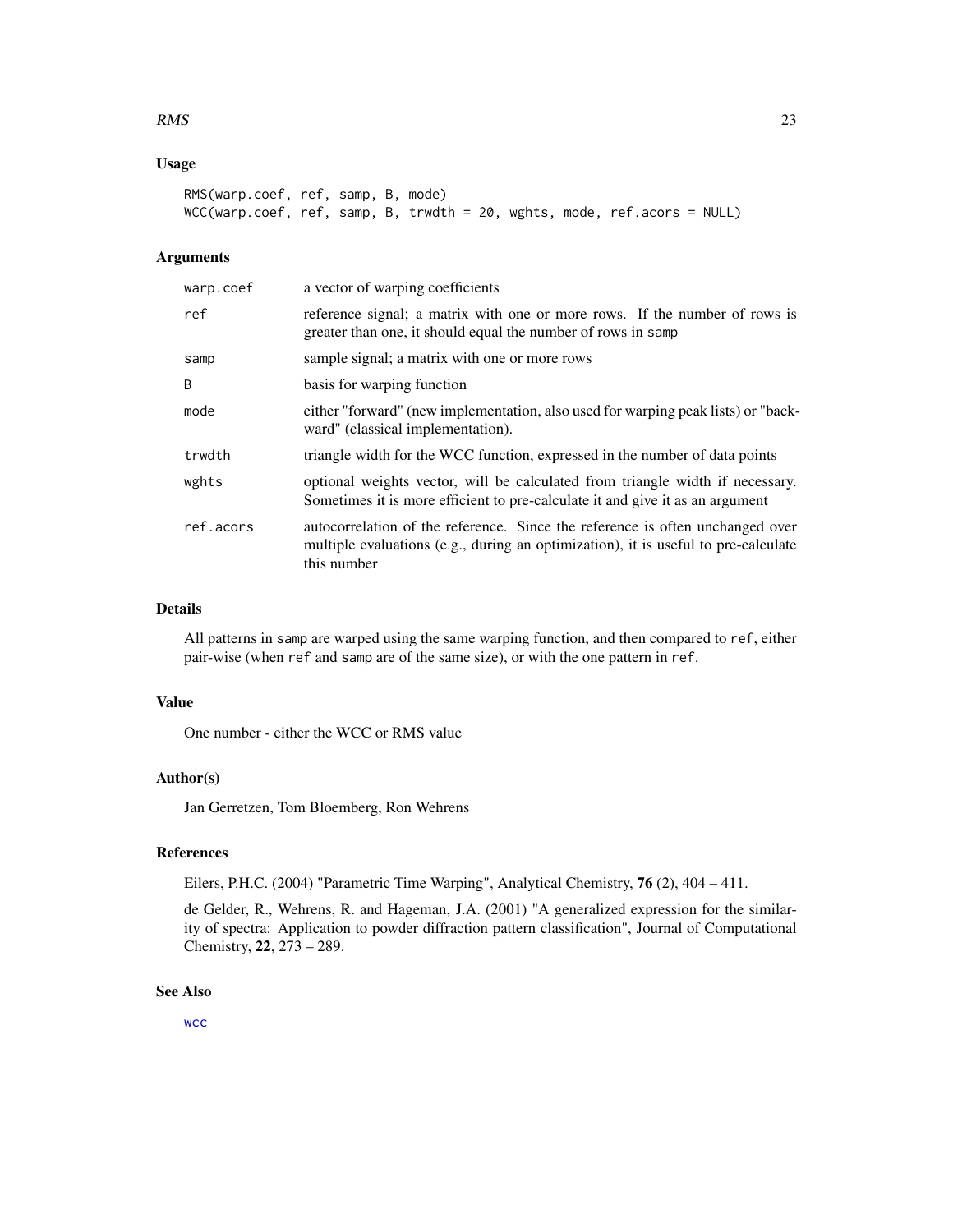#### <span id="page-22-0"></span> $RMS$  23

# Usage

```
RMS(warp.coef, ref, samp, B, mode)
WCC(warp.coef, ref, samp, B, trwdth = 20, wghts, mode, ref.acors = NULL)
```
# Arguments

| warp.coef | a vector of warping coefficients                                                                                                                                                   |  |  |  |  |  |  |  |
|-----------|------------------------------------------------------------------------------------------------------------------------------------------------------------------------------------|--|--|--|--|--|--|--|
| ref       | reference signal; a matrix with one or more rows. If the number of rows is<br>greater than one, it should equal the number of rows in samp                                         |  |  |  |  |  |  |  |
| samp      | sample signal; a matrix with one or more rows                                                                                                                                      |  |  |  |  |  |  |  |
| B         | basis for warping function                                                                                                                                                         |  |  |  |  |  |  |  |
| mode      | either "forward" (new implementation, also used for warping peak lists) or "back-<br>ward" (classical implementation).                                                             |  |  |  |  |  |  |  |
| trwdth    | triangle width for the WCC function, expressed in the number of data points                                                                                                        |  |  |  |  |  |  |  |
| wghts     | optional weights vector, will be calculated from triangle width if necessary.<br>Sometimes it is more efficient to pre-calculate it and give it as an argument                     |  |  |  |  |  |  |  |
| ref.acors | autocorrelation of the reference. Since the reference is often unchanged over<br>multiple evaluations (e.g., during an optimization), it is useful to pre-calculate<br>this number |  |  |  |  |  |  |  |

# Details

All patterns in samp are warped using the same warping function, and then compared to ref, either pair-wise (when ref and samp are of the same size), or with the one pattern in ref.

# Value

One number - either the WCC or RMS value

# Author(s)

Jan Gerretzen, Tom Bloemberg, Ron Wehrens

# References

Eilers, P.H.C. (2004) "Parametric Time Warping", Analytical Chemistry, 76 (2), 404 – 411.

de Gelder, R., Wehrens, R. and Hageman, J.A. (2001) "A generalized expression for the similarity of spectra: Application to powder diffraction pattern classification", Journal of Computational Chemistry, 22, 273 – 289.

# See Also

[wcc](#page-25-1)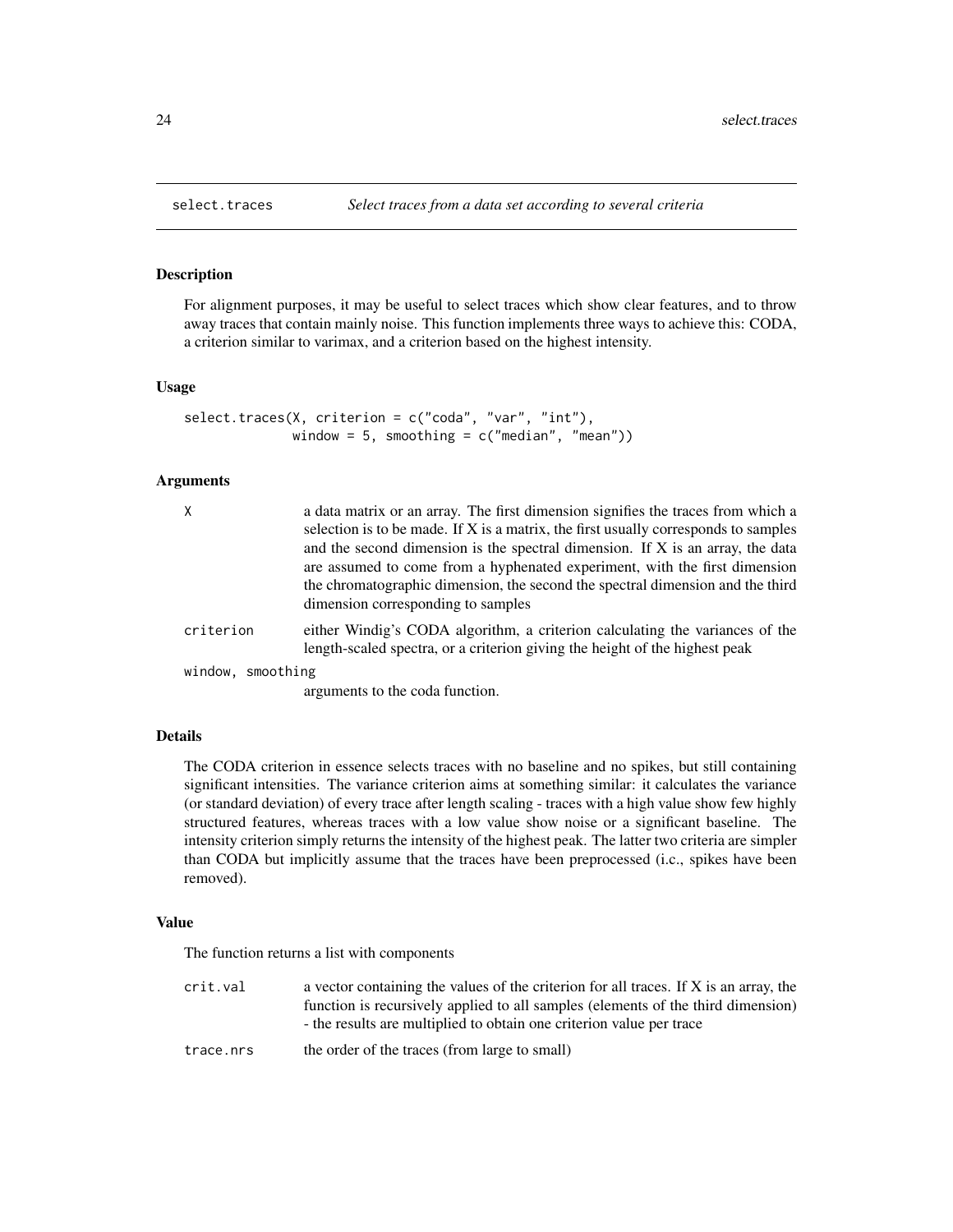#### Description

For alignment purposes, it may be useful to select traces which show clear features, and to throw away traces that contain mainly noise. This function implements three ways to achieve this: CODA, a criterion similar to varimax, and a criterion based on the highest intensity.

#### Usage

```
select.traces(X, criterion = c("coda", "var", "int"),
             window = 5, smoothing = c("median", "mean"))
```
#### Arguments

| χ                 | a data matrix or an array. The first dimension signifies the traces from which a<br>selection is to be made. If X is a matrix, the first usually corresponds to samples<br>and the second dimension is the spectral dimension. If X is an array, the data<br>are assumed to come from a hyphenated experiment, with the first dimension<br>the chromatographic dimension, the second the spectral dimension and the third<br>dimension corresponding to samples |
|-------------------|-----------------------------------------------------------------------------------------------------------------------------------------------------------------------------------------------------------------------------------------------------------------------------------------------------------------------------------------------------------------------------------------------------------------------------------------------------------------|
| criterion         | either Windig's CODA algorithm, a criterion calculating the variances of the<br>length-scaled spectra, or a criterion giving the height of the highest peak                                                                                                                                                                                                                                                                                                     |
| window, smoothing |                                                                                                                                                                                                                                                                                                                                                                                                                                                                 |
|                   | arguments to the coda function.                                                                                                                                                                                                                                                                                                                                                                                                                                 |

# Details

The CODA criterion in essence selects traces with no baseline and no spikes, but still containing significant intensities. The variance criterion aims at something similar: it calculates the variance (or standard deviation) of every trace after length scaling - traces with a high value show few highly structured features, whereas traces with a low value show noise or a significant baseline. The intensity criterion simply returns the intensity of the highest peak. The latter two criteria are simpler than CODA but implicitly assume that the traces have been preprocessed (i.c., spikes have been removed).

# Value

The function returns a list with components

crit.val a vector containing the values of the criterion for all traces. If X is an array, the function is recursively applied to all samples (elements of the third dimension) - the results are multiplied to obtain one criterion value per trace

trace.nrs the order of the traces (from large to small)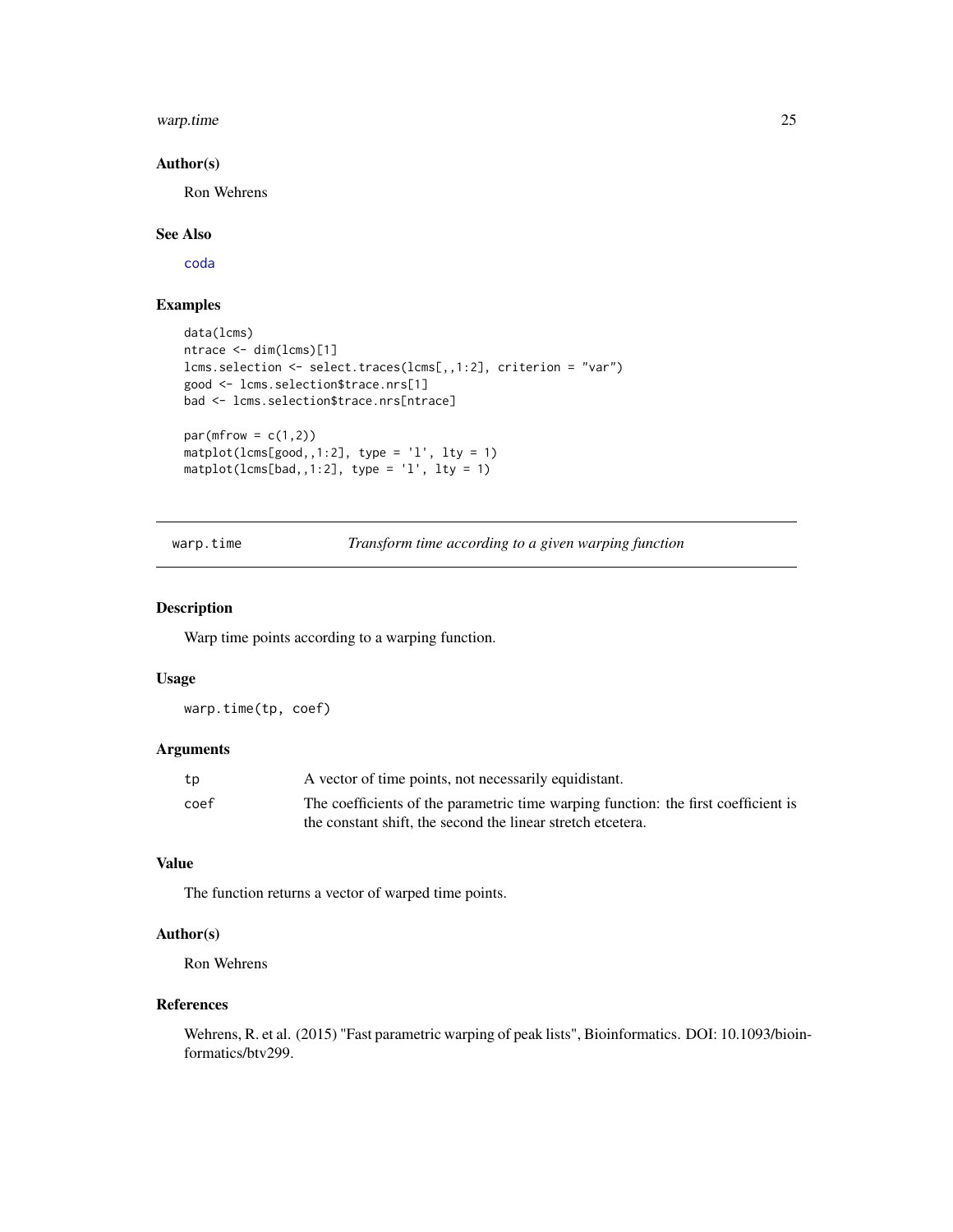#### <span id="page-24-0"></span>warp.time 25

# Author(s)

Ron Wehrens

# See Also

[coda](#page-6-1)

# Examples

```
data(lcms)
ntrace <- dim(lcms)[1]
lcms.selection <- select.traces(lcms[,,1:2], criterion = "var")
good <- lcms.selection$trace.nrs[1]
bad <- lcms.selection$trace.nrs[ntrace]
par(mfrow = c(1,2))matplot(lcms[good,,1:2], type = 'l', lty = 1)
matplot(lcms[bad,,1:2], type = 'l', lty = 1)
```
warp.time *Transform time according to a given warping function*

#### Description

Warp time points according to a warping function.

#### Usage

warp.time(tp, coef)

# Arguments

| tp   | A vector of time points, not necessarily equidistant.                              |
|------|------------------------------------------------------------------------------------|
| coef | The coefficients of the parametric time warping function: the first coefficient is |
|      | the constant shift, the second the linear stretch etcetera.                        |

# Value

The function returns a vector of warped time points.

# Author(s)

Ron Wehrens

#### References

Wehrens, R. et al. (2015) "Fast parametric warping of peak lists", Bioinformatics. DOI: 10.1093/bioinformatics/btv299.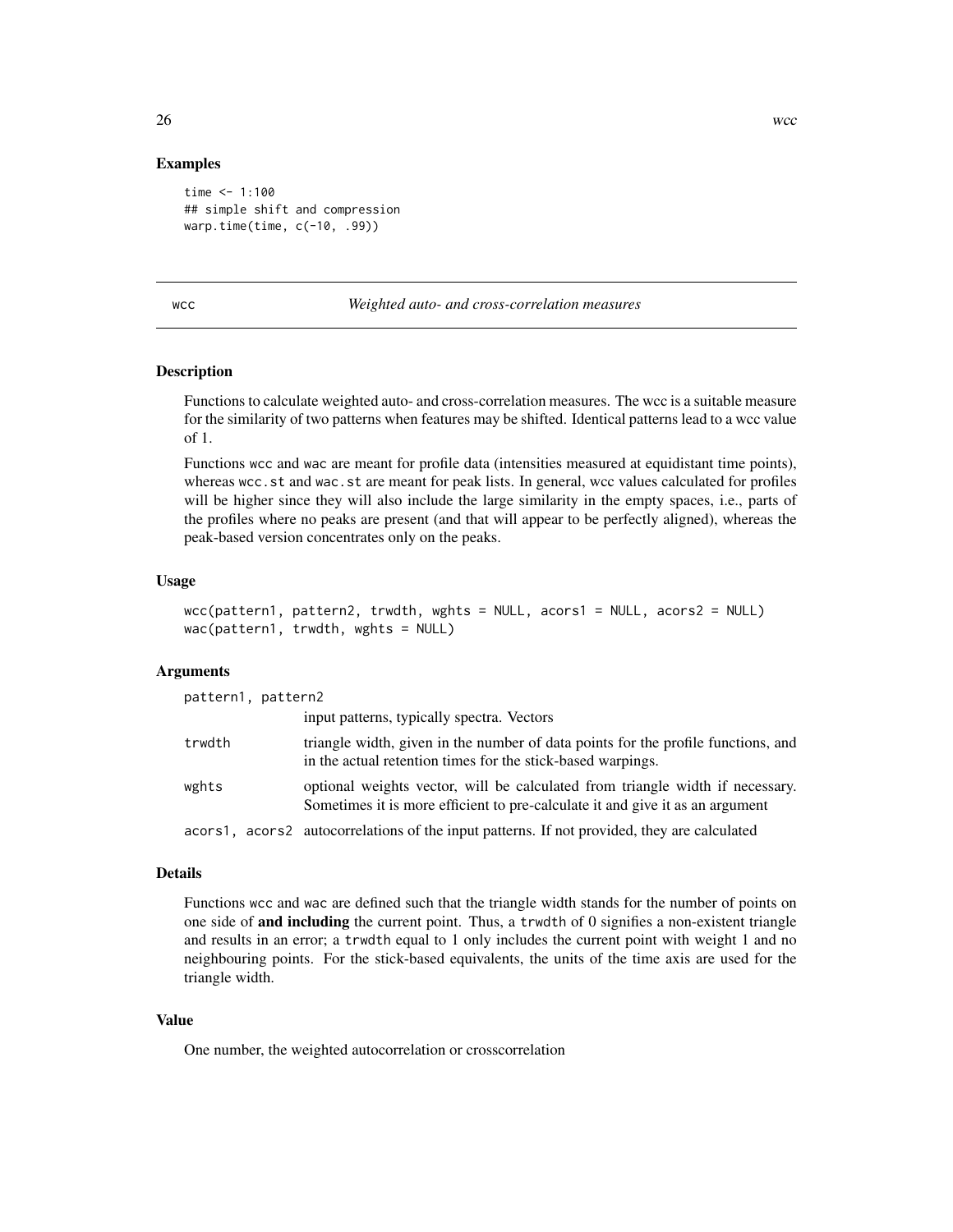#### Examples

```
time <- 1:100## simple shift and compression
warp.time(time, c(-10, .99))
```
<span id="page-25-1"></span>wcc *Weighted auto- and cross-correlation measures*

# Description

Functions to calculate weighted auto- and cross-correlation measures. The wcc is a suitable measure for the similarity of two patterns when features may be shifted. Identical patterns lead to a wcc value of 1.

Functions wcc and wac are meant for profile data (intensities measured at equidistant time points), whereas wcc.st and wac.st are meant for peak lists. In general, wcc values calculated for profiles will be higher since they will also include the large similarity in the empty spaces, i.e., parts of the profiles where no peaks are present (and that will appear to be perfectly aligned), whereas the peak-based version concentrates only on the peaks.

# Usage

```
wcc(pattern1, pattern2, trwdth, wghts = NULL, acors1 = NULL, acors2 = NULL)
wac(pattern1, trwdth, wghts = NULL)
```
#### Arguments

| pattern1, pattern2 |                                                                                                                                                                |
|--------------------|----------------------------------------------------------------------------------------------------------------------------------------------------------------|
|                    | input patterns, typically spectra. Vectors                                                                                                                     |
| trwdth             | triangle width, given in the number of data points for the profile functions, and<br>in the actual retention times for the stick-based warpings.               |
| wghts              | optional weights vector, will be calculated from triangle width if necessary.<br>Sometimes it is more efficient to pre-calculate it and give it as an argument |
|                    | acors1, acors2 autocorrelations of the input patterns. If not provided, they are calculated                                                                    |

#### Details

Functions wcc and wac are defined such that the triangle width stands for the number of points on one side of and including the current point. Thus, a trwdth of 0 signifies a non-existent triangle and results in an error; a trwdth equal to 1 only includes the current point with weight 1 and no neighbouring points. For the stick-based equivalents, the units of the time axis are used for the triangle width.

# Value

One number, the weighted autocorrelation or crosscorrelation

<span id="page-25-0"></span>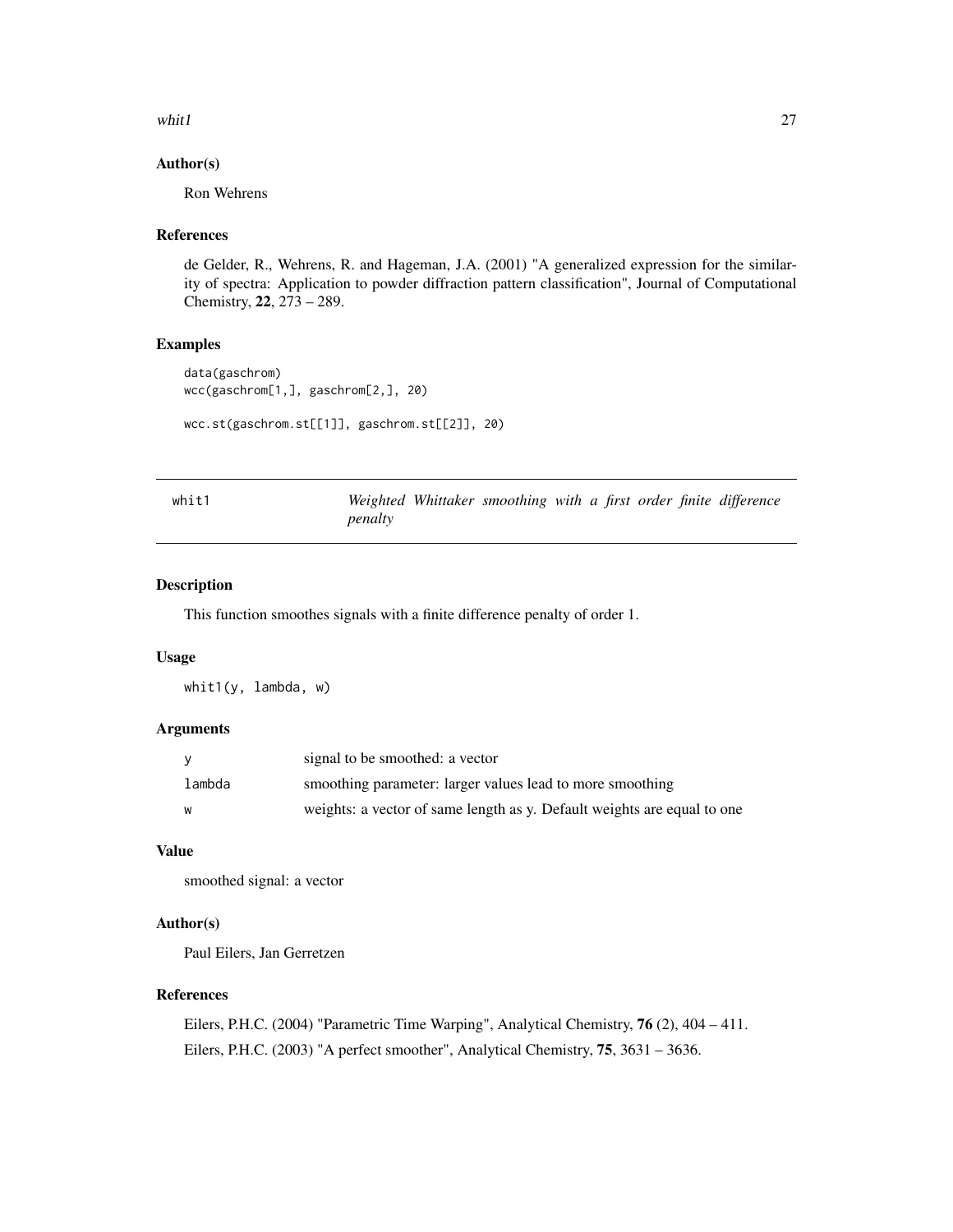#### <span id="page-26-0"></span>whit  $1$  27

# Author(s)

Ron Wehrens

# References

de Gelder, R., Wehrens, R. and Hageman, J.A. (2001) "A generalized expression for the similarity of spectra: Application to powder diffraction pattern classification", Journal of Computational Chemistry, 22, 273 – 289.

# Examples

```
data(gaschrom)
wcc(gaschrom[1,], gaschrom[2,], 20)
```

```
wcc.st(gaschrom.st[[1]], gaschrom.st[[2]], 20)
```

| whit1 |         | Weighted Whittaker smoothing with a first order finite difference |  |  |  |
|-------|---------|-------------------------------------------------------------------|--|--|--|
|       | penalty |                                                                   |  |  |  |

# Description

This function smoothes signals with a finite difference penalty of order 1.

# Usage

whit1(y, lambda, w)

# Arguments

| - V    | signal to be smoothed: a vector                                         |
|--------|-------------------------------------------------------------------------|
| lambda | smoothing parameter: larger values lead to more smoothing               |
| W      | weights: a vector of same length as y. Default weights are equal to one |

# Value

smoothed signal: a vector

### Author(s)

Paul Eilers, Jan Gerretzen

# References

Eilers, P.H.C. (2004) "Parametric Time Warping", Analytical Chemistry, 76 (2), 404 – 411. Eilers, P.H.C. (2003) "A perfect smoother", Analytical Chemistry, 75, 3631 – 3636.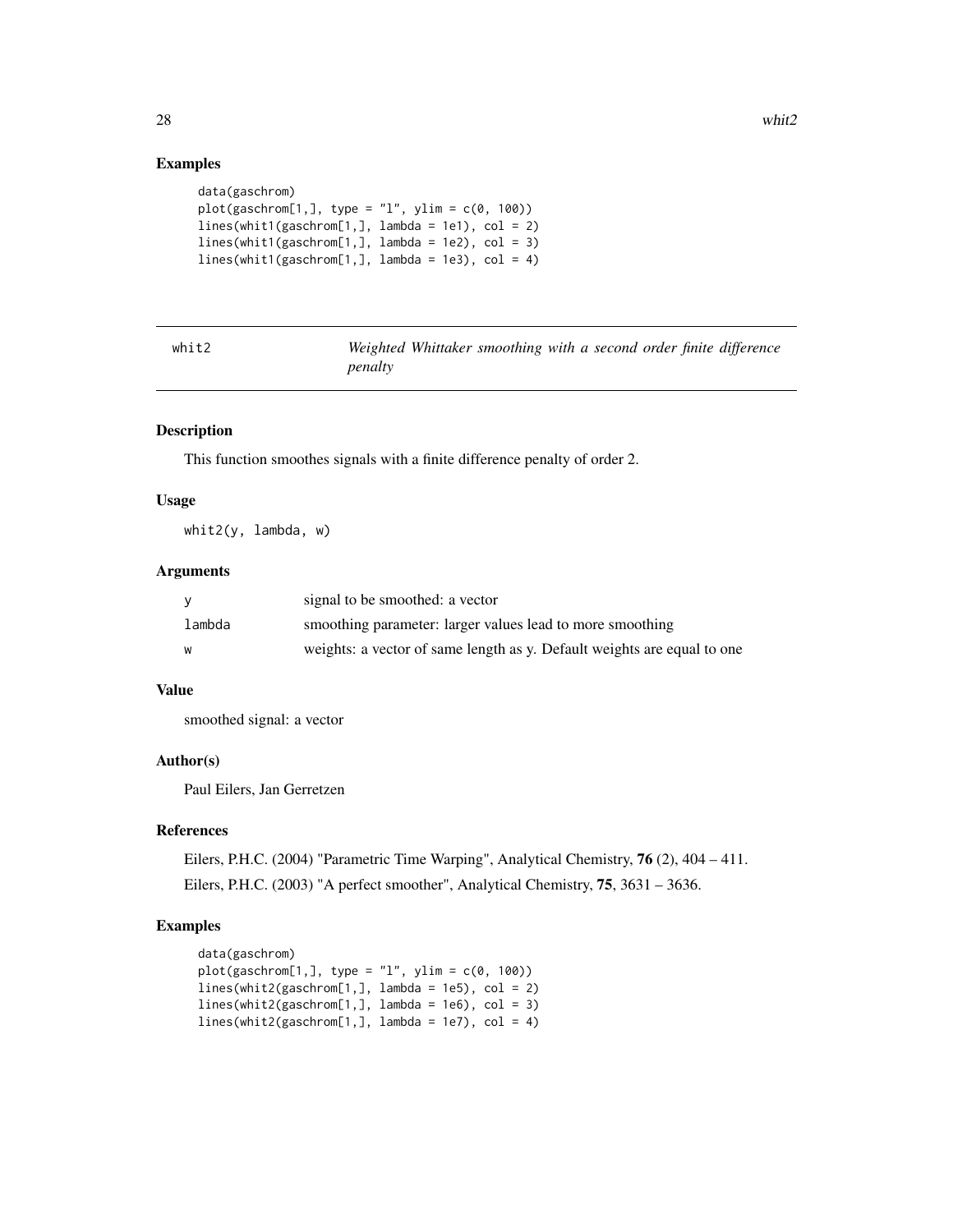# Examples

```
data(gaschrom)
plot(gaschrom[1,], type = "l", ylim = c(0, 100))lines(whit1(gaschrom[1,], lambda = 1e1), col = 2)lines(\text{whit1}(gas\text{chrom}[1,], \text{lambda} = 1e2), col = 3)lines(\text{whitt}(gas\text{chrom}[1,], \text{lambda} = 1e3), col = 4)
```

| ۷r | ı | в |  |
|----|---|---|--|
| ×  |   |   |  |
|    |   |   |  |

*Weighted Whittaker smoothing with a second order finite difference penalty*

#### Description

This function smoothes signals with a finite difference penalty of order 2.

#### Usage

whit2(y, lambda, w)

#### Arguments

|        | signal to be smoothed: a vector                                         |
|--------|-------------------------------------------------------------------------|
| lambda | smoothing parameter: larger values lead to more smoothing               |
| w      | weights: a vector of same length as y. Default weights are equal to one |

#### Value

smoothed signal: a vector

# Author(s)

Paul Eilers, Jan Gerretzen

# References

Eilers, P.H.C. (2004) "Parametric Time Warping", Analytical Chemistry, 76 (2), 404 – 411. Eilers, P.H.C. (2003) "A perfect smoother", Analytical Chemistry, 75, 3631 – 3636.

# Examples

```
data(gaschrom)
plot(gaschrom[1,], type = "l", ylim = c(0, 100))
lines(\text{whit2(gaschrom}[1,], \text{lambda} = 1e5), col = 2)lines(whit2(gaschrom[1,], lambda = 1e6), col = 3)lines(whit2(gaschrom[1,], lambda = 1e7), col = 4)
```
<span id="page-27-0"></span>